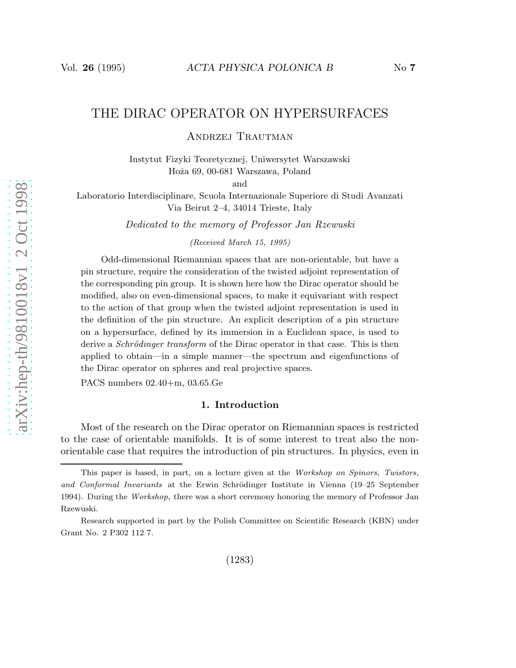# THE DIRAC OPERATOR ON HYPERSURFACES

Andrzej Trautman

Instytut Fizyki Teoretycznej, Uniwersytet Warszawski Hoża 69, 00-681 Warszawa, Poland

and

Laboratorio Interdisciplinare, Scuola Internazionale Superiore di Studi Avanzati Via Beirut 2–4, 34014 Trieste, Italy

Dedicated to the memory of Professor Jan Rzewuski

(Received March 15, 1995)

Odd-dimensional Riemannian spaces that are non-orientable, but have a pin structure, require the consideration of the twisted adjoint representation of the corresponding pin group. It is shown here how the Dirac operator should be modified, also on even-dimensional spaces, to make it equivariant with respect to the action of that group when the twisted adjoint representation is used in the definition of the pin structure. An explicit description of a pin structure on a hypersurface, defined by its immersion in a Euclidean space, is used to derive a *Schrödinger transform* of the Dirac operator in that case. This is then applied to obtain—in a simple manner—the spectrum and eigenfunctions of the Dirac operator on spheres and real projective spaces.

PACS numbers 02.40+m, 03.65.Ge

## 1. Introduction

Most of the research on the Dirac operator on Riemannian spaces is restricted to the case of orientable manifolds. It is of some interest to treat also the nonorientable case that requires the introduction of pin structures. In physics, even in

This paper is based, in part, on a lecture given at the Workshop on Spinors, Twistors, and Conformal Invariants at the Erwin Schrödinger Institute in Vienna (19–25 September 1994). During the Workshop, there was a short ceremony honoring the memory of Professor Jan Rzewuski.

Research supported in part by the Polish Committee on Scientific Research (KBN) under Grant No. 2 P302 112 7.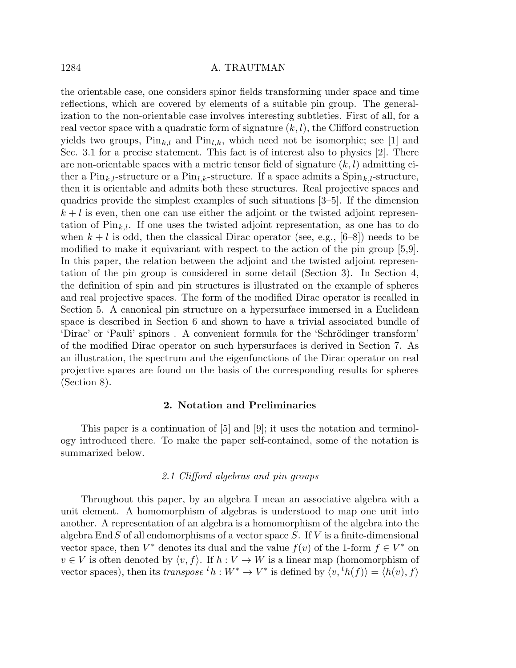the orientable case, one considers spinor fields transforming under space and time reflections, which are covered by elements of a suitable pin group. The generalization to the non-orientable case involves interesting subtleties. First of all, for a real vector space with a quadratic form of signature  $(k, l)$ , the Clifford construction yields two groups,  $\text{Pin}_{k,l}$  and  $\text{Pin}_{l,k}$ , which need not be isomorphic; see [1] and Sec. 3.1 for a precise statement. This fact is of interest also to physics [2]. There are non-orientable spaces with a metric tensor field of signature  $(k, l)$  admitting either a  $\text{Pin}_{k,l}$ -structure or a  $\text{Pin}_{l,k}$ -structure. If a space admits a  $\text{Spin}_{k,l}$ -structure, then it is orientable and admits both these structures. Real projective spaces and quadrics provide the simplest examples of such situations [3–5]. If the dimension  $k+l$  is even, then one can use either the adjoint or the twisted adjoint representation of  $\text{Pin}_{k,l}$ . If one uses the twisted adjoint representation, as one has to do when  $k + l$  is odd, then the classical Dirac operator (see, e.g., [6–8]) needs to be modified to make it equivariant with respect to the action of the pin group [5,9]. In this paper, the relation between the adjoint and the twisted adjoint representation of the pin group is considered in some detail (Section 3). In Section 4, the definition of spin and pin structures is illustrated on the example of spheres and real projective spaces. The form of the modified Dirac operator is recalled in Section 5. A canonical pin structure on a hypersurface immersed in a Euclidean space is described in Section 6 and shown to have a trivial associated bundle of 'Dirac' or 'Pauli' spinors . A convenient formula for the 'Schrödinger transform' of the modified Dirac operator on such hypersurfaces is derived in Section 7. As an illustration, the spectrum and the eigenfunctions of the Dirac operator on real projective spaces are found on the basis of the corresponding results for spheres (Section 8).

## 2. Notation and Preliminaries

This paper is a continuation of [5] and [9]; it uses the notation and terminology introduced there. To make the paper self-contained, some of the notation is summarized below.

# 2.1 Clifford algebras and pin groups

Throughout this paper, by an algebra I mean an associative algebra with a unit element. A homomorphism of algebras is understood to map one unit into another. A representation of an algebra is a homomorphism of the algebra into the algebra End  $S$  of all endomorphisms of a vector space  $S$ . If V is a finite-dimensional vector space, then  $V^*$  denotes its dual and the value  $f(v)$  of the 1-form  $f \in V^*$  on  $v \in V$  is often denoted by  $\langle v, f \rangle$ . If  $h : V \to W$  is a linear map (homomorphism of vector spaces), then its transpose  ${}^t h : W^* \to V^*$  is defined by  $\langle v, {}^t h(f) \rangle = \langle h(v), f \rangle$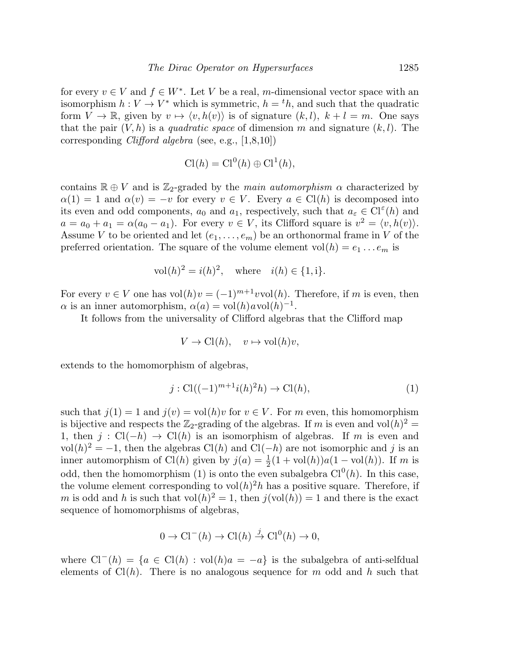for every  $v \in V$  and  $f \in W^*$ . Let V be a real, m-dimensional vector space with an isomorphism  $h: V \to V^*$  which is symmetric,  $h = {}^t h$ , and such that the quadratic form  $V \to \mathbb{R}$ , given by  $v \mapsto \langle v, h(v) \rangle$  is of signature  $(k, l)$ ,  $k + l = m$ . One says that the pair  $(V, h)$  is a *quadratic space* of dimension m and signature  $(k, l)$ . The corresponding Clifford algebra (see, e.g., [1,8,10])

$$
Cl(h) = Cl0(h) \oplus Cl1(h),
$$

contains  $\mathbb{R} \oplus V$  and is Z<sub>2</sub>-graded by the main automorphism  $\alpha$  characterized by  $\alpha(1) = 1$  and  $\alpha(v) = -v$  for every  $v \in V$ . Every  $a \in \mathrm{Cl}(h)$  is decomposed into its even and odd components,  $a_0$  and  $a_1$ , respectively, such that  $a_{\varepsilon} \in \mathrm{Cl}^{\varepsilon}(h)$  and  $a = a_0 + a_1 = \alpha(a_0 - a_1)$ . For every  $v \in V$ , its Clifford square is  $v^2 = \langle v, h(v) \rangle$ . Assume V to be oriented and let  $(e_1, \ldots, e_m)$  be an orthonormal frame in V of the preferred orientation. The square of the volume element  $vol(h) = e_1 \dots e_m$  is

vol
$$
(h)^2 = i(h)^2
$$
, where  $i(h) \in \{1, i\}$ .

For every  $v \in V$  one has  $vol(h)v = (-1)^{m+1}vol(h)$ . Therefore, if m is even, then  $\alpha$  is an inner automorphism,  $\alpha(a) = \text{vol}(h) a \text{vol}(h)^{-1}$ .

It follows from the universality of Clifford algebras that the Clifford map

$$
V \to \mathrm{Cl}(h), \quad v \mapsto \mathrm{vol}(h)v,
$$

extends to the homomorphism of algebras,

$$
j: Cl((-1)^{m+1}i(h)^{2}h) \to Cl(h),
$$
\n(1)

such that  $j(1) = 1$  and  $j(v) = vol(h)v$  for  $v \in V$ . For m even, this homomorphism is bijective and respects the  $\mathbb{Z}_2$ -grading of the algebras. If m is even and vol $(h)^2$  = 1, then  $j$  : Cl(−h) → Cl(h) is an isomorphism of algebras. If m is even and vol $(h)^2 = -1$ , then the algebras Cl $(h)$  and Cl $(-h)$  are not isomorphic and j is an inner automorphism of Cl(h) given by  $j(a) = \frac{1}{2}(1 + \text{vol}(h))a(1 - \text{vol}(h))$ . If m is odd, then the homomorphism (1) is onto the even subalgebra  $Cl<sup>0</sup>(h)$ . In this case, the volume element corresponding to  $vol(h)^2 h$  has a positive square. Therefore, if m is odd and h is such that  $vol(h)^2 = 1$ , then  $j(vol(h)) = 1$  and there is the exact sequence of homomorphisms of algebras,

$$
0 \to \mathrm{Cl}^-(h) \to \mathrm{Cl}(h) \stackrel{j}{\to} \mathrm{Cl}^0(h) \to 0,
$$

where  $Cl^-(h) = \{a \in Cl(h) : vol(h)a = -a\}$  is the subalgebra of anti-selfdual elements of  $Cl(h)$ . There is no analogous sequence for m odd and h such that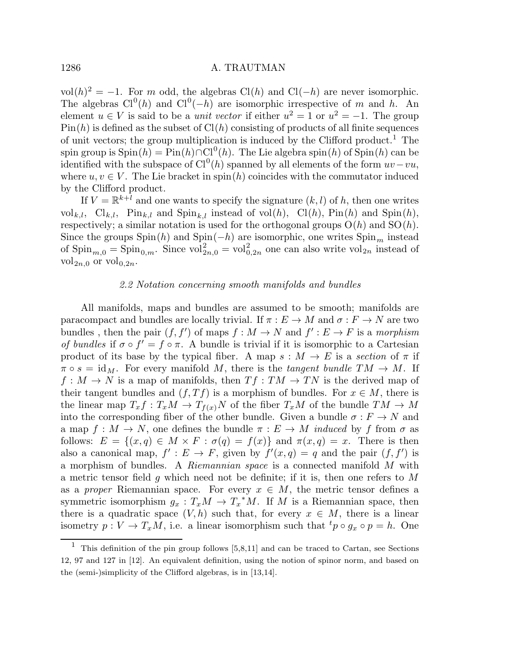vol $(h)^2 = -1$ . For m odd, the algebras Cl(h) and Cl(−h) are never isomorphic. The algebras  $Cl^0(h)$  and  $Cl^0(-h)$  are isomorphic irrespective of m and h. An element  $u \in V$  is said to be a *unit vector* if either  $u^2 = 1$  or  $u^2 = -1$ . The group  $Pin(h)$  is defined as the subset of  $Cl(h)$  consisting of products of all finite sequences of unit vectors; the group multiplication is induced by the Clifford product.<sup>1</sup> The spin group is  $\text{Spin}(h) = \text{Pin}(h) \cap \text{Cl}^0(h)$ . The Lie algebra spin $(h)$  of  $\text{Spin}(h)$  can be identified with the subspace of  $Cl^0(h)$  spanned by all elements of the form  $uv-vu$ , where  $u, v \in V$ . The Lie bracket in spin(h) coincides with the commutator induced by the Clifford product.

If  $V = \mathbb{R}^{k+l}$  and one wants to specify the signature  $(k, l)$  of h, then one writes  $\mathrm{vol}_{k,l}$ ,  $\mathrm{Cl}_{k,l}$ ,  $\mathrm{Pin}_{k,l}$  and  $\mathrm{Spin}_{k,l}$  instead of  $\mathrm{vol}(h)$ ,  $\mathrm{Cl}(h)$ ,  $\mathrm{Pin}(h)$  and  $\mathrm{Spin}(h)$ , respectively; a similar notation is used for the orthogonal groups  $O(h)$  and  $SO(h)$ . Since the groups Spin(h) and Spin(−h) are isomorphic, one writes  $\text{Spin}_m$  instead of  $\text{Spin}_{m,0} = \text{Spin}_{0,m}$ . Since  $\text{vol}_{2n,0}^2 = \text{vol}_{0,2n}^2$  one can also write  $\text{vol}_{2n}$  instead of vol<sub>2n,0</sub> or vol<sub>0,2n</sub>.

#### 2.2 Notation concerning smooth manifolds and bundles

All manifolds, maps and bundles are assumed to be smooth; manifolds are paracompact and bundles are locally trivial. If  $\pi : E \to M$  and  $\sigma : F \to N$  are two bundles, then the pair  $(f, f')$  of maps  $f : M \to N$  and  $f' : E \to F$  is a morphism of bundles if  $\sigma \circ f' = f \circ \pi$ . A bundle is trivial if it is isomorphic to a Cartesian product of its base by the typical fiber. A map  $s : M \to E$  is a section of  $\pi$  if  $\pi \circ s = \text{id}_M$ . For every manifold M, there is the tangent bundle  $TM \to M$ . If  $f: M \to N$  is a map of manifolds, then  $Tf: TM \to TN$  is the derived map of their tangent bundles and  $(f, Tf)$  is a morphism of bundles. For  $x \in M$ , there is the linear map  $T_x f : T_x M \to T_{f(x)} N$  of the fiber  $T_x M$  of the bundle  $T M \to M$ into the corresponding fiber of the other bundle. Given a bundle  $\sigma : F \to N$  and a map  $f: M \to N$ , one defines the bundle  $\pi: E \to M$  induced by f from  $\sigma$  as follows:  $E = \{(x, q) \in M \times F : \sigma(q) = f(x)\}\$ and  $\pi(x, q) = x$ . There is then also a canonical map,  $f' : E \to F$ , given by  $f'(x, q) = q$  and the pair  $(f, f')$  is a morphism of bundles. A Riemannian space is a connected manifold M with a metric tensor field g which need not be definite; if it is, then one refers to  $M$ as a proper Riemannian space. For every  $x \in M$ , the metric tensor defines a symmetric isomorphism  $g_x: T_xM \to T_x^*M$ . If M is a Riemannian space, then there is a quadratic space  $(V, h)$  such that, for every  $x \in M$ , there is a linear isometry  $p: V \to T_xM$ , i.e. a linear isomorphism such that  ${}^tp \circ g_x \circ p = h$ . One

 $1$  This definition of the pin group follows [5,8,11] and can be traced to Cartan, see Sections 12, 97 and 127 in [12]. An equivalent definition, using the notion of spinor norm, and based on the (semi-)simplicity of the Clifford algebras, is in [13,14].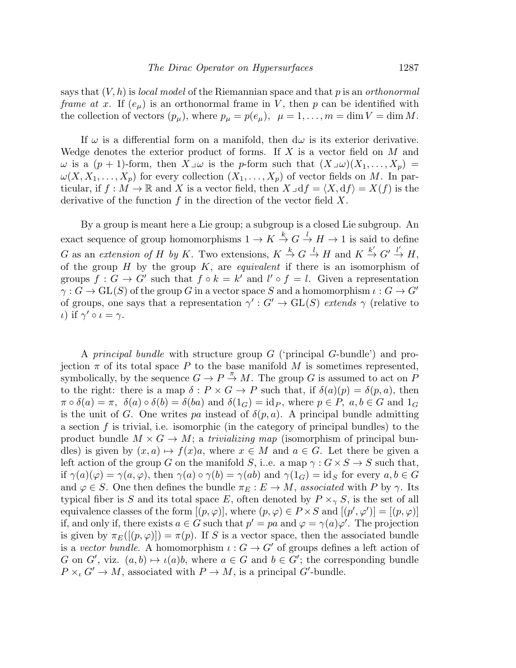says that  $(V, h)$  is *local model* of the Riemannian space and that p is an *orthonormal* frame at x. If  $(e_{\mu})$  is an orthonormal frame in V, then p can be identified with the collection of vectors  $(p_{\mu})$ , where  $p_{\mu} = p(e_{\mu})$ ,  $\mu = 1, ..., m = \dim V = \dim M$ .

If  $\omega$  is a differential form on a manifold, then  $d\omega$  is its exterior derivative. Wedge denotes the exterior product of forms. If  $X$  is a vector field on  $M$  and  $\omega$  is a  $(p + 1)$ -form, then  $X\lrcorner \omega$  is the p-form such that  $(X\lrcorner \omega)(X_1, \ldots, X_p) =$  $\omega(X, X_1, \ldots, X_p)$  for every collection  $(X_1, \ldots, X_p)$  of vector fields on M. In particular, if  $f : M \to \mathbb{R}$  and X is a vector field, then  $X \lrcorner df = \langle X, df \rangle = X(f)$  is the derivative of the function  $f$  in the direction of the vector field  $X$ .

By a group is meant here a Lie group; a subgroup is a closed Lie subgroup. An exact sequence of group homomorphisms  $1 \to K \stackrel{k}{\to} G \stackrel{l}{\to} H \to 1$  is said to define G as an extension of H by K. Two extensions,  $K \stackrel{k}{\to} G \stackrel{l}{\to} H$  and  $K \stackrel{k'}{\to} G' \stackrel{l'}{\to} H$ , of the group  $H$  by the group  $K$ , are *equivalent* if there is an isomorphism of groups  $f: G \to G'$  such that  $f \circ k = k'$  and  $l' \circ f = l$ . Given a representation  $\gamma: G \to GL(S)$  of the group G in a vector space S and a homomorphism  $\iota: G \to G'$ of groups, one says that a representation  $\gamma': G' \to GL(S)$  extends  $\gamma$  (relative to *ι*) if  $\gamma' \circ \iota = \gamma$ .

A principal bundle with structure group G ('principal G-bundle') and projection  $\pi$  of its total space P to the base manifold M is sometimes represented, symbolically, by the sequence  $G \to P \stackrel{\pi}{\to} M$ . The group G is assumed to act on  $P$ to the right: there is a map  $\delta: P \times G \to P$  such that, if  $\delta(a)(p) = \delta(p, a)$ , then  $\pi \circ \delta(a) = \pi$ ,  $\delta(a) \circ \delta(b) = \delta(ba)$  and  $\delta(1_G) = id_P$ , where  $p \in P$ ,  $a, b \in G$  and  $1_G$ is the unit of G. One writes pa instead of  $\delta(p, a)$ . A principal bundle admitting a section  $f$  is trivial, i.e. isomorphic (in the category of principal bundles) to the product bundle  $M \times G \to M$ ; a *trivializing map* (isomorphism of principal bundles) is given by  $(x, a) \mapsto f(x)a$ , where  $x \in M$  and  $a \in G$ . Let there be given a left action of the group G on the manifold S, i.e. a map  $\gamma$  :  $G \times S \rightarrow S$  such that, if  $\gamma(a)(\varphi) = \gamma(a, \varphi)$ , then  $\gamma(a) \circ \gamma(b) = \gamma(ab)$  and  $\gamma(1_G) = id_S$  for every  $a, b \in G$ and  $\varphi \in S$ . One then defines the bundle  $\pi_E : E \to M$ , associated with P by  $\gamma$ . Its typical fiber is S and its total space E, often denoted by  $P \times_{\gamma} S$ , is the set of all equivalence classes of the form  $[(p, \varphi)]$ , where  $(p, \varphi) \in P \times S$  and  $[(p', \varphi')] = [(p, \varphi)]$ if, and only if, there exists  $a \in G$  such that  $p' = pa$  and  $\varphi = \gamma(a)\varphi'$ . The projection is given by  $\pi_E([p,\varphi]) = \pi(p)$ . If S is a vector space, then the associated bundle is a vector bundle. A homomorphism  $\iota: G \to G'$  of groups defines a left action of G on G', viz.  $(a, b) \mapsto \iota(a)b$ , where  $a \in G$  and  $b \in G'$ ; the corresponding bundle  $P \times_{\iota} G' \to M$ , associated with  $P \to M$ , is a principal G'-bundle.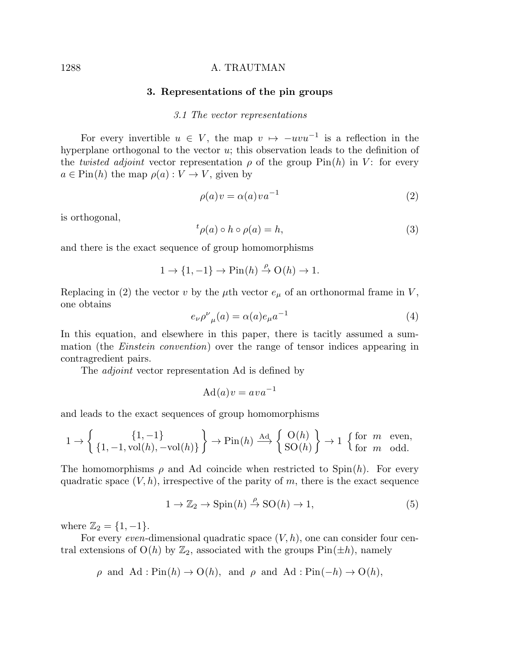#### 3. Representations of the pin groups

#### 3.1 The vector representations

For every invertible  $u \in V$ , the map  $v \mapsto -uvu^{-1}$  is a reflection in the hyperplane orthogonal to the vector u; this observation leads to the definition of the twisted adjoint vector representation  $\rho$  of the group  $\text{Pin}(h)$  in V: for every  $a \in \text{Pin}(h)$  the map  $\rho(a): V \to V$ , given by

$$
\rho(a)v = \alpha(a)va^{-1} \tag{2}
$$

is orthogonal,

$$
{}^{t}\rho(a)\circ h\circ\rho(a)=h,\tag{3}
$$

and there is the exact sequence of group homomorphisms

$$
1 \to \{1, -1\} \to \text{Pin}(h) \stackrel{\rho}{\to} \text{O}(h) \to 1.
$$

Replacing in (2) the vector v by the  $\mu$ th vector  $e_{\mu}$  of an orthonormal frame in V, one obtains

$$
e_{\nu}\rho^{\nu}{}_{\mu}(a) = \alpha(a)e_{\mu}a^{-1}
$$
\n(4)

In this equation, and elsewhere in this paper, there is tacitly assumed a summation (the Einstein convention) over the range of tensor indices appearing in contragredient pairs.

The *adjoint* vector representation Ad is defined by

$$
Ad(a)v = ava^{-1}
$$

and leads to the exact sequences of group homomorphisms

$$
1 \to \left\{ \{1, -1, \text{vol}(h), -\text{vol}(h)\} \right\} \to \text{Pin}(h) \xrightarrow{\text{Ad}} \left\{ \begin{array}{c} \text{O}(h) \\ \text{SO}(h) \end{array} \right\} \to 1 \text{ } \left\{ \begin{array}{c} \text{for } m \text{ even,} \\ \text{for } m \text{ odd.} \end{array} \right.
$$

The homomorphisms  $\rho$  and Ad coincide when restricted to Spin $(h)$ . For every quadratic space  $(V, h)$ , irrespective of the parity of m, there is the exact sequence

$$
1 \to \mathbb{Z}_2 \to \text{Spin}(h) \stackrel{\rho}{\to} \text{SO}(h) \to 1,\tag{5}
$$

where  $\mathbb{Z}_2 = \{1, -1\}.$ 

For every even-dimensional quadratic space  $(V, h)$ , one can consider four central extensions of  $O(h)$  by  $\mathbb{Z}_2$ , associated with the groups  $\text{Pin}(\pm h)$ , namely

$$
\rho
$$
 and Ad : Pin(h)  $\rightarrow$  O(h), and  $\rho$  and Ad : Pin(-h)  $\rightarrow$  O(h),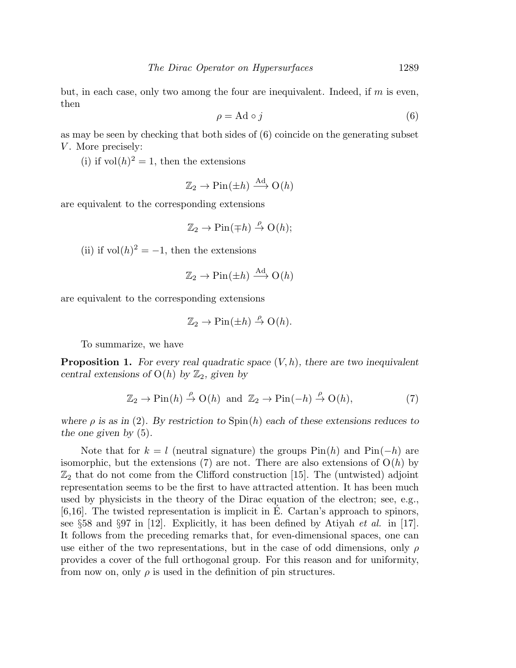but, in each case, only two among the four are inequivalent. Indeed, if  $m$  is even, then

$$
\rho = \text{Ad} \circ j \tag{6}
$$

as may be seen by checking that both sides of (6) coincide on the generating subset V. More precisely:

(i) if  $vol(h)^2 = 1$ , then the extensions

$$
\mathbb{Z}_2 \to \mathrm{Pin}(\pm h) \xrightarrow{\mathrm{Ad}} \mathrm{O}(h)
$$

are equivalent to the corresponding extensions

$$
\mathbb{Z}_2 \to \mathrm{Pin}(\mp h) \stackrel{\rho}{\to} \mathrm{O}(h);
$$

(ii) if  $vol(h)^2 = -1$ , then the extensions

$$
\mathbb{Z}_2 \to \text{Pin}(\pm h) \xrightarrow{\text{Ad}} \text{O}(h)
$$

are equivalent to the corresponding extensions

$$
\mathbb{Z}_2 \to \mathrm{Pin}(\pm h) \stackrel{\rho}{\to} \mathrm{O}(h).
$$

To summarize, we have

**Proposition 1.** For every real quadratic space  $(V, h)$ , there are two inequivalent central extensions of  $O(h)$  by  $\mathbb{Z}_2$ , given by

$$
\mathbb{Z}_2 \to \text{Pin}(h) \stackrel{\rho}{\to} \text{O}(h) \text{ and } \mathbb{Z}_2 \to \text{Pin}(-h) \stackrel{\rho}{\to} \text{O}(h), \tag{7}
$$

where  $\rho$  is as in (2). By restriction to  $Spin(h)$  each of these extensions reduces to the one given by (5).

Note that for  $k = l$  (neutral signature) the groups  $\text{Pin}(h)$  and  $\text{Pin}(-h)$  are isomorphic, but the extensions (7) are not. There are also extensions of  $O(h)$  by  $\mathbb{Z}_2$  that do not come from the Clifford construction [15]. The (untwisted) adjoint representation seems to be the first to have attracted attention. It has been much used by physicists in the theory of the Dirac equation of the electron; see, e.g.,  $[6,16]$ . The twisted representation is implicit in E. Cartan's approach to spinors, see  $\S 58$  and  $\S 97$  in [12]. Explicitly, it has been defined by Atiyah *et al.* in [17]. It follows from the preceding remarks that, for even-dimensional spaces, one can use either of the two representations, but in the case of odd dimensions, only  $\rho$ provides a cover of the full orthogonal group. For this reason and for uniformity, from now on, only  $\rho$  is used in the definition of pin structures.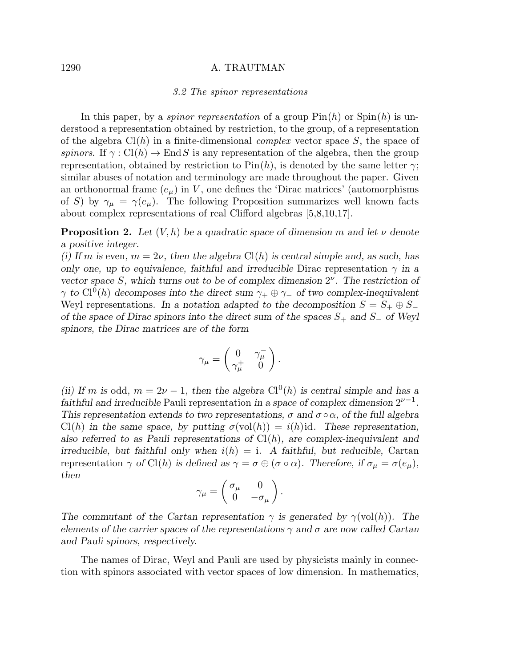#### 3.2 The spinor representations

In this paper, by a *spinor representation* of a group  $Pin(h)$  or  $Spin(h)$  is understood a representation obtained by restriction, to the group, of a representation of the algebra  $Cl(h)$  in a finite-dimensional *complex* vector space S, the space of spinors. If  $\gamma: Cl(h) \to End S$  is any representation of the algebra, then the group representation, obtained by restriction to  $\text{Pin}(h)$ , is denoted by the same letter  $\gamma$ ; similar abuses of notation and terminology are made throughout the paper. Given an orthonormal frame  $(e_{\mu})$  in V, one defines the 'Dirac matrices' (automorphisms of S) by  $\gamma_{\mu} = \gamma(e_{\mu})$ . The following Proposition summarizes well known facts about complex representations of real Clifford algebras [5,8,10,17].

**Proposition 2.** Let  $(V, h)$  be a quadratic space of dimension m and let  $\nu$  denote a positive integer.

(i) If m is even,  $m = 2\nu$ , then the algebra Cl(h) is central simple and, as such, has only one, up to equivalence, faithful and irreducible Dirac representation  $\gamma$  in a vector space S, which turns out to be of complex dimension  $2^{\nu}$ . The restriction of  $\gamma$  to Cl<sup>0</sup>(h) decomposes into the direct sum  $\gamma_+ \oplus \gamma_-$  of two complex-inequivalent Weyl representations. In a notation adapted to the decomposition  $S = S_+ \oplus S_$ of the space of Dirac spinors into the direct sum of the spaces  $S_+$  and  $S_-$  of Weyl spinors, the Dirac matrices are of the form

$$
\gamma_\mu = \begin{pmatrix} 0 & \gamma_\mu^- \\ \gamma_\mu^+ & 0 \end{pmatrix}.
$$

(ii) If m is odd,  $m = 2\nu - 1$ , then the algebra Cl<sup>0</sup>(h) is central simple and has a faithful and irreducible Pauli representation in a space of complex dimension  $2^{\nu-1}$ . This representation extends to two representations,  $\sigma$  and  $\sigma \circ \alpha$ , of the full algebra  $Cl(h)$  in the same space, by putting  $\sigma(\text{vol}(h)) = i(h)$ id. These representation, also referred to as Pauli representations of  $Cl(h)$ , are complex-inequivalent and irreducible, but faithful only when  $i(h) = i$ . A faithful, but reducible, Cartan representation  $\gamma$  of Cl(h) is defined as  $\gamma = \sigma \oplus (\sigma \circ \alpha)$ . Therefore, if  $\sigma_{\mu} = \sigma(e_{\mu}),$ then

$$
\gamma_{\mu} = \begin{pmatrix} \sigma_{\mu} & 0 \\ 0 & -\sigma_{\mu} \end{pmatrix}.
$$

The commutant of the Cartan representation  $\gamma$  is generated by  $\gamma(\text{vol}(h))$ . The elements of the carrier spaces of the representations  $\gamma$  and  $\sigma$  are now called Cartan and Pauli spinors, respectively.

The names of Dirac, Weyl and Pauli are used by physicists mainly in connection with spinors associated with vector spaces of low dimension. In mathematics,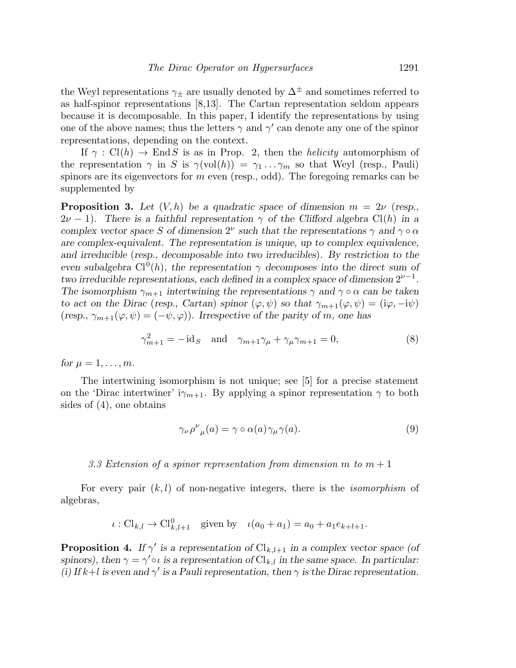the Weyl representations  $\gamma_{\pm}$  are usually denoted by  $\Delta^{\pm}$  and sometimes referred to as half-spinor representations [8,13]. The Cartan representation seldom appears because it is decomposable. In this paper, I identify the representations by using one of the above names; thus the letters  $\gamma$  and  $\gamma'$  can denote any one of the spinor representations, depending on the context.

If  $\gamma : Cl(h) \to End S$  is as in Prop. 2, then the *helicity* automorphism of the representation  $\gamma$  in S is  $\gamma(\text{vol}(h)) = \gamma_1 \dots \gamma_m$  so that Weyl (resp., Pauli) spinors are its eigenvectors for  $m$  even (resp., odd). The foregoing remarks can be supplemented by

**Proposition 3.** Let  $(V, h)$  be a quadratic space of dimension  $m = 2\nu$  (resp.,  $2\nu - 1$ ). There is a faithful representation  $\gamma$  of the Clifford algebra Cl(h) in a complex vector space S of dimension  $2^{\nu}$  such that the representations  $\gamma$  and  $\gamma \circ \alpha$ are complex-equivalent. The representation is unique, up to complex equivalence, and irreducible (resp., decomposable into two irreducibles). By restriction to the even subalgebra  $Cl^0(h)$ , the representation  $\gamma$  decomposes into the direct sum of two irreducible representations, each defined in a complex space of dimension  $2^{\nu-1}$ . The isomorphism  $\gamma_{m+1}$  intertwining the representations  $\gamma$  and  $\gamma \circ \alpha$  can be taken to act on the Dirac (resp., Cartan) spinor  $(\varphi, \psi)$  so that  $\gamma_{m+1}(\varphi, \psi) = (\mathrm{i}\varphi, -\mathrm{i}\psi)$ (resp.,  $\gamma_{m+1}(\varphi, \psi) = (-\psi, \varphi)$ ). Irrespective of the parity of m, one has

$$
\gamma_{m+1}^2 = -\mathrm{id}_S \quad \text{and} \quad \gamma_{m+1}\gamma_\mu + \gamma_\mu\gamma_{m+1} = 0,\tag{8}
$$

for  $\mu = 1, \ldots, m$ .

The intertwining isomorphism is not unique; see [5] for a precise statement on the 'Dirac intertwiner'  $i\gamma_{m+1}$ . By applying a spinor representation  $\gamma$  to both sides of (4), one obtains

$$
\gamma_{\nu}\rho^{\nu}{}_{\mu}(a) = \gamma \circ \alpha(a)\gamma_{\mu}\gamma(a). \tag{9}
$$

#### 3.3 Extension of a spinor representation from dimension m to  $m + 1$

For every pair  $(k, l)$  of non-negative integers, there is the *isomorphism* of algebras,

$$
\iota: Cl_{k,l} \to Cl_{k,l+1}^0
$$
 given by  $\iota(a_0 + a_1) = a_0 + a_1e_{k+l+1}$ .

**Proposition 4.** If  $\gamma'$  is a representation of  $\text{Cl}_{k,l+1}$  in a complex vector space (of spinors), then  $\gamma = \gamma' \circ \iota$  is a representation of  $\text{Cl}_{k,l}$  in the same space. In particular: (i) If k+l is even and  $\gamma'$  is a Pauli representation, then  $\gamma$  is the Dirac representation.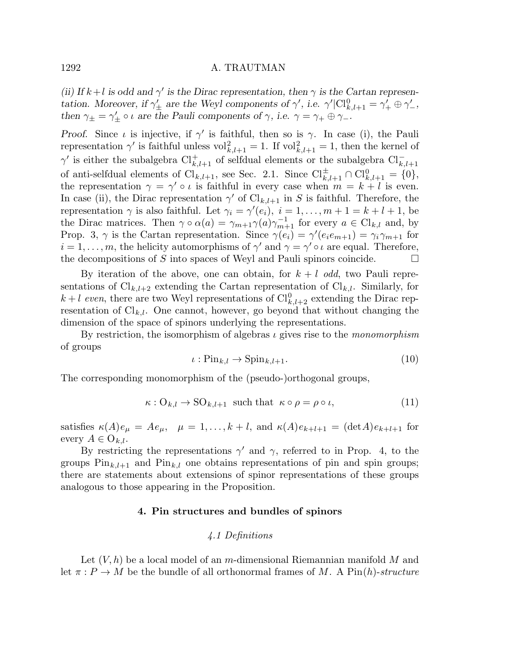(ii) If  $k+l$  is odd and  $\gamma'$  is the Dirac representation, then  $\gamma$  is the Cartan representation. Moreover, if  $\gamma'_{\pm}$  are the Weyl components of  $\gamma'$ , i.e.  $\gamma'|\text{Cl}_{k,l+1}^0 = \gamma'_{+} \oplus \gamma'_{-}$ , then  $\gamma_{\pm} = \gamma'_{\pm} \circ \iota$  are the Pauli components of  $\gamma$ , i.e.  $\gamma = \gamma_{+} \oplus \gamma_{-}$ .

Proof. Since  $\iota$  is injective, if  $\gamma'$  is faithful, then so is  $\gamma$ . In case (i), the Pauli representation  $\gamma'$  is faithful unless  $\mathrm{vol}_{k,l+1}^2 = 1$ . If  $\mathrm{vol}_{k,l+1}^2 = 1$ , then the kernel of  $\gamma'$  is either the subalgebra  $\text{Cl}_{k,l+1}^+$  of selfdual elements or the subalgebra  $\text{Cl}_{k,l+1}^$ of anti-selfdual elements of  $\text{Cl}_{k,l+1}$ , see Sec. 2.1. Since  $\text{Cl}_{k,l+1}^{\pm} \cap \text{Cl}_{k,l+1}^0 = \{0\},\$ the representation  $\gamma = \gamma' \circ \iota$  is faithful in every case when  $m = k + l$  is even. In case (ii), the Dirac representation  $\gamma'$  of  $\text{Cl}_{k,l+1}$  in S is faithful. Therefore, the representation  $\gamma$  is also faithful. Let  $\gamma_i = \gamma'(e_i)$ ,  $i = 1, ..., m + 1 = k + l + 1$ , be the Dirac matrices. Then  $\gamma \circ \alpha(a) = \gamma_{m+1} \gamma(a) \gamma_{m+1}^{-1}$  for every  $a \in \mathrm{Cl}_{k,l}$  and, by Prop. 3,  $\gamma$  is the Cartan representation. Since  $\gamma(e_i) = \gamma'(e_i e_{m+1}) = \gamma_i \gamma_{m+1}$  for  $i = 1, \ldots, m$ , the helicity automorphisms of  $\gamma'$  and  $\gamma = \gamma' \circ \iota$  are equal. Therefore, the decompositions of S into spaces of Weyl and Pauli spinors coincide.  $\Box$ 

By iteration of the above, one can obtain, for  $k + l$  odd, two Pauli representations of  $\text{Cl}_{k,l+2}$  extending the Cartan representation of  $\text{Cl}_{k,l}$ . Similarly, for  $k+l$  even, there are two Weyl representations of  $\text{Cl}_{k,l+2}^0$  extending the Dirac representation of  $\mathrm{Cl}_{k,l}$ . One cannot, however, go beyond that without changing the dimension of the space of spinors underlying the representations.

By restriction, the isomorphism of algebras  $\iota$  gives rise to the *monomorphism* of groups

$$
\iota: \text{Pin}_{k,l} \to \text{Spin}_{k,l+1}.\tag{10}
$$

The corresponding monomorphism of the (pseudo-)orthogonal groups,

$$
\kappa: O_{k,l} \to SO_{k,l+1} \text{ such that } \kappa \circ \rho = \rho \circ \iota,
$$
 (11)

satisfies  $\kappa(A)e_{\mu} = Ae_{\mu}$ ,  $\mu = 1, ..., k+l$ , and  $\kappa(A)e_{k+l+1} = (\det A)e_{k+l+1}$  for every  $A \in O_{k,l}$ .

By restricting the representations  $\gamma'$  and  $\gamma$ , referred to in Prop. 4, to the groups  $\text{Pin}_{k,l+1}$  and  $\text{Pin}_{k,l}$  one obtains representations of pin and spin groups; there are statements about extensions of spinor representations of these groups analogous to those appearing in the Proposition.

# 4. Pin structures and bundles of spinors

# 4.1 Definitions

Let  $(V, h)$  be a local model of an m-dimensional Riemannian manifold M and let  $\pi : P \to M$  be the bundle of all orthonormal frames of M. A Pin(h)-structure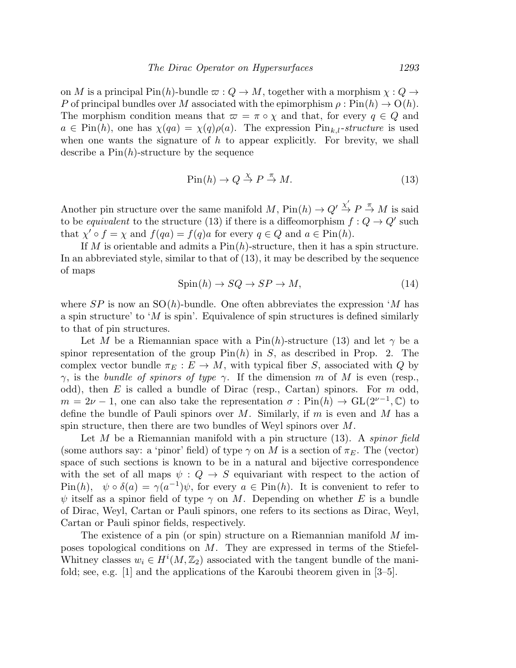on M is a principal Pin(h)-bundle  $\varpi$  :  $Q \to M$ , together with a morphism  $\chi : Q \to$ P of principal bundles over M associated with the epimorphism  $\rho : Pin(h) \to O(h)$ . The morphism condition means that  $\varpi = \pi \circ \chi$  and that, for every  $q \in Q$  and  $a \in \text{Pin}(h)$ , one has  $\chi(qa) = \chi(q)\rho(a)$ . The expression  $\text{Pin}_{k,l}$ -structure is used when one wants the signature of  $h$  to appear explicitly. For brevity, we shall describe a  $\text{Pin}(h)$ -structure by the sequence

$$
\text{Pin}(h) \to Q \stackrel{\chi}{\to} P \stackrel{\pi}{\to} M. \tag{13}
$$

Another pin structure over the same manifold M,  $\text{Pin}(h) \to Q' \overset{\chi'}{\to} P \overset{\pi}{\to} M$  is said to be *equivalent* to the structure (13) if there is a diffeomorphism  $f: Q \to Q'$  such that  $\chi' \circ f = \chi$  and  $f(qa) = f(q)a$  for every  $q \in Q$  and  $a \in Pin(h)$ .

If M is orientable and admits a  $Pin(h)$ -structure, then it has a spin structure. In an abbreviated style, similar to that of (13), it may be described by the sequence of maps

$$
Spin(h) \to SQ \to SP \to M,\tag{14}
$$

where  $SP$  is now an  $SO(h)$ -bundle. One often abbreviates the expression 'M has a spin structure' to 'M is spin'. Equivalence of spin structures is defined similarly to that of pin structures.

Let M be a Riemannian space with a Pin(h)-structure (13) and let  $\gamma$  be a spinor representation of the group  $\text{Pin}(h)$  in S, as described in Prop. 2. The complex vector bundle  $\pi_E : E \to M$ , with typical fiber S, associated with Q by  $\gamma$ , is the bundle of spinors of type  $\gamma$ . If the dimension m of M is even (resp., odd), then  $E$  is called a bundle of Dirac (resp., Cartan) spinors. For  $m$  odd,  $m = 2\nu - 1$ , one can also take the representation  $\sigma : Pin(h) \to GL(2^{\nu-1}, \mathbb{C})$  to define the bundle of Pauli spinors over M. Similarly, if m is even and M has a spin structure, then there are two bundles of Weyl spinors over M.

Let M be a Riemannian manifold with a pin structure  $(13)$ . A *spinor field* (some authors say: a 'pinor' field) of type  $\gamma$  on M is a section of  $\pi_E$ . The (vector) space of such sections is known to be in a natural and bijective correspondence with the set of all maps  $\psi: Q \to S$  equivariant with respect to the action of  $\text{Pin}(h)$ ,  $\psi \circ \delta(a) = \gamma(a^{-1})\psi$ , for every  $a \in \text{Pin}(h)$ . It is convenient to refer to  $\psi$  itself as a spinor field of type  $\gamma$  on M. Depending on whether E is a bundle of Dirac, Weyl, Cartan or Pauli spinors, one refers to its sections as Dirac, Weyl, Cartan or Pauli spinor fields, respectively.

The existence of a pin (or spin) structure on a Riemannian manifold  $M$  imposes topological conditions on M. They are expressed in terms of the Stiefel-Whitney classes  $w_i \in H^i(M, \mathbb{Z}_2)$  associated with the tangent bundle of the manifold; see, e.g. [1] and the applications of the Karoubi theorem given in [3–5].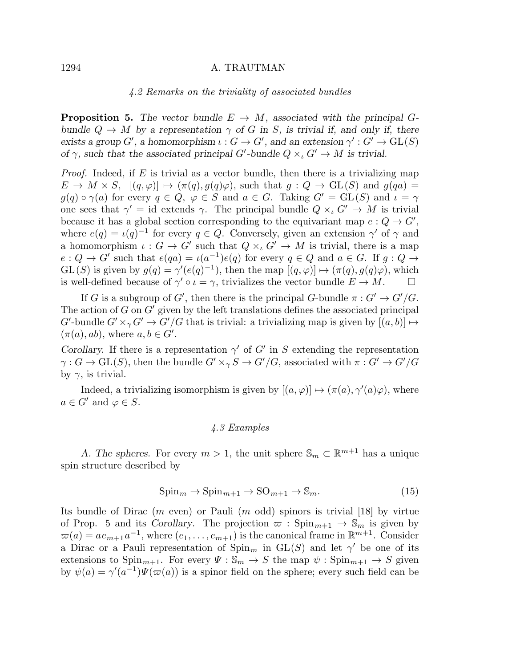#### 4.2 Remarks on the triviality of associated bundles

**Proposition 5.** The vector bundle  $E \rightarrow M$ , associated with the principal Gbundle  $Q \to M$  by a representation  $\gamma$  of G in S, is trivial if, and only if, there exists a group  $G'$ , a homomorphism  $\iota: G \to G'$ , and an extension  $\gamma': G' \to \text{GL}(S)$ of  $\gamma$ , such that the associated principal G'-bundle  $Q \times_{\iota} G' \to M$  is trivial.

*Proof.* Indeed, if E is trivial as a vector bundle, then there is a trivializing map  $E \to M \times S$ ,  $[(q, \varphi)] \mapsto (\pi(q), q(q)\varphi)$ , such that  $g : Q \to GL(S)$  and  $g(qa) =$  $g(q) \circ \gamma(a)$  for every  $q \in Q$ ,  $\varphi \in S$  and  $a \in G$ . Taking  $G' = GL(S)$  and  $\iota = \gamma$ one sees that  $\gamma' = id$  extends  $\gamma$ . The principal bundle  $Q \times_{\iota} G' \to M$  is trivial because it has a global section corresponding to the equivariant map  $e: Q \to G'$ , where  $e(q) = \iota(q)^{-1}$  for every  $q \in Q$ . Conversely, given an extension  $\gamma'$  of  $\gamma$  and a homomorphism  $\iota: G \to G'$  such that  $Q \times_{\iota} G' \to M$  is trivial, there is a map  $e: Q \to G'$  such that  $e(qa) = \iota(a^{-1})e(q)$  for every  $q \in Q$  and  $a \in G$ . If  $g: Q \to G'$  $GL(S)$  is given by  $g(q) = \gamma'(e(q)^{-1})$ , then the map  $[(q, \varphi)] \mapsto (\pi(q), g(q)\varphi)$ , which is well-defined because of  $\gamma' \circ \iota = \gamma$ , trivializes the vector bundle  $E \to M$ .

If G is a subgroup of G', then there is the principal G-bundle  $\pi: G' \to G'/G$ . The action of  $G$  on  $G'$  given by the left translations defines the associated principal G'-bundle  $G' \times_{\gamma} G' \to G'/G$  that is trivial: a trivializing map is given by  $[(a, b)] \mapsto$  $(\pi(a), ab)$ , where  $a, b \in G'$ .

Corollary. If there is a representation  $\gamma'$  of G' in S extending the representation  $\gamma: G \to \mathrm{GL}(S)$ , then the bundle  $G' \times_{\gamma} S \to G'/G$ , associated with  $\pi: G' \to G'/G$ by  $\gamma$ , is trivial.

Indeed, a trivializing isomorphism is given by  $[(a, \varphi)] \mapsto (\pi(a), \gamma'(a)\varphi)$ , where  $a \in G'$  and  $\varphi \in S$ .

# 4.3 Examples

A. The spheres. For every  $m > 1$ , the unit sphere  $\mathbb{S}_m \subset \mathbb{R}^{m+1}$  has a unique spin structure described by

$$
\text{Spin}_m \to \text{Spin}_{m+1} \to \text{SO}_{m+1} \to \mathbb{S}_m. \tag{15}
$$

Its bundle of Dirac  $(m \text{ even})$  or Pauli  $(m \text{ odd})$  spinors is trivial  $[18]$  by virtue of Prop. 5 and its Corollary. The projection  $\varpi$ : Spin $_{m+1} \to \mathbb{S}_m$  is given by  $\varpi(a) = a e_{m+1} a^{-1}$ , where  $(e_1, \ldots, e_{m+1})$  is the canonical frame in  $\mathbb{R}^{m+1}$ . Consider a Dirac or a Pauli representation of  $\text{Spin}_m$  in  $\text{GL}(S)$  and let  $\gamma'$  be one of its extensions to  $\text{Spin}_{m+1}$ . For every  $\Psi : \mathbb{S}_m \to S$  the map  $\psi : \text{Spin}_{m+1} \to S$  given by  $\psi(a) = \gamma'(a^{-1}) \Psi(\varpi(a))$  is a spinor field on the sphere; every such field can be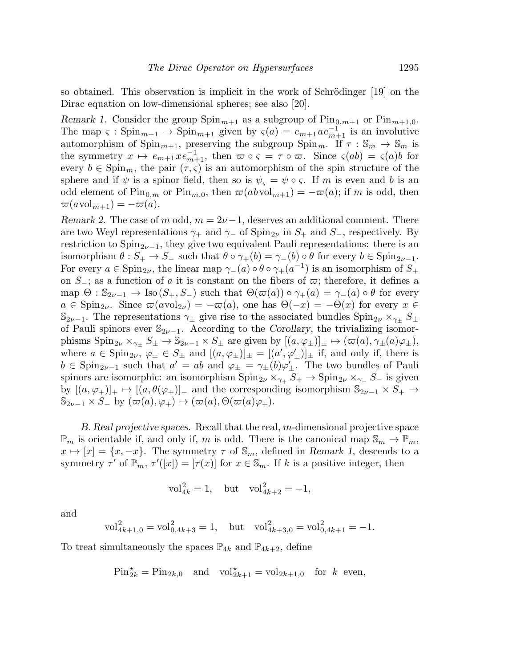so obtained. This observation is implicit in the work of Schrödinger  $[19]$  on the Dirac equation on low-dimensional spheres; see also [20].

Remark 1. Consider the group  $\text{Spin}_{m+1}$  as a subgroup of  $\text{Pin}_{0,m+1}$  or  $\text{Pin}_{m+1,0}$ . The map  $\varsigma : \mathrm{Spin}_{m+1} \to \mathrm{Spin}_{m+1}$  given by  $\varsigma(a) = e_{m+1} a e_{m+1}^{-1}$  is an involutive automorphism of  $Spin_{m+1}$ , preserving the subgroup  $Spin_m$ . If  $\tau : \mathbb{S}_m \to \mathbb{S}_m$  is the symmetry  $x \mapsto e_{m+1} x e_{m+1}^{-1}$ , then  $\varpi \circ \varsigma = \tau \circ \varpi$ . Since  $\varsigma(ab) = \varsigma(a)b$  for every  $b \in \text{Spin}_m$ , the pair  $(\tau, \varsigma)$  is an automorphism of the spin structure of the sphere and if  $\psi$  is a spinor field, then so is  $\psi_{\varsigma} = \psi \circ \varsigma$ . If m is even and b is an odd element of  $\text{Pin}_{0,m}$  or  $\text{Pin}_{m,0}$ , then  $\varpi(ab\text{vol}_{m+1}) = -\varpi(a)$ ; if m is odd, then  $\overline{\omega}(a\text{vol}_{m+1}) = -\overline{\omega}(a).$ 

Remark 2. The case of m odd,  $m = 2\nu - 1$ , deserves an additional comment. There are two Weyl representations  $\gamma_+$  and  $\gamma_-$  of Spin<sub>2</sub><sup> $\nu$ </sup> in  $S_+$  and  $S_-,$  respectively. By restriction to  $Spin_{2\nu-1}$ , they give two equivalent Pauli representations: there is an isomorphism  $\theta : S_+ \to S_-$  such that  $\theta \circ \gamma_+(b) = \gamma_-(b) \circ \theta$  for every  $b \in \text{Spin}_{2\nu-1}$ . For every  $a \in \text{Spin}_{2\nu}$ , the linear map  $\gamma_{-}(a) \circ \theta \circ \gamma_{+}(a^{-1})$  is an isomorphism of  $S_{+}$ on  $S_$ ; as a function of a it is constant on the fibers of  $\varpi$ ; therefore, it defines a map  $\Theta$ :  $\mathbb{S}_{2\nu-1} \to \text{Iso}(S_+, S_-)$  such that  $\Theta(\varpi(a)) \circ \gamma_+(a) = \gamma_-(a) \circ \theta$  for every  $a \in \text{Spin}_{2\nu}$ . Since  $\varpi(a \text{vol}_{2\nu}) = -\varpi(a)$ , one has  $\Theta(-x) = -\Theta(x)$  for every  $x \in$  $\mathbb{S}_{2\nu-1}$ . The representations  $\gamma_{\pm}$  give rise to the associated bundles  $\text{Spin}_{2\nu} \times_{\gamma_{+}} S_{\pm}$ of Pauli spinors ever  $\mathbb{S}_{2\nu-1}$ . According to the Corollary, the trivializing isomorphisms  $Spin_{2\nu} \times_{\gamma_{\pm}} S_{\pm} \to \mathbb{S}_{2\nu-1} \times S_{\pm}$  are given by  $[(a, \varphi_{\pm})]_{\pm} \mapsto (\varpi(a), \gamma_{\pm}(a)\varphi_{\pm}),$ where  $a \in \text{Spin}_{2\nu}$ ,  $\varphi_{\pm} \in S_{\pm}$  and  $[(a, \varphi_{\pm})]_{\pm} = [(a', \varphi'_{\pm})]_{\pm}$  if, and only if, there is  $b \in \text{Spin}_{2\nu-1}$  such that  $a' = ab$  and  $\varphi_{\pm} = \gamma_{\pm}(b)\varphi'_{\pm}$ . The two bundles of Pauli spinors are isomorphic: an isomorphism  $\text{Spin}_{2\nu} \times_{\gamma_+} S_+ \to \text{Spin}_{2\nu} \times_{\gamma_-} S_-$  is given by  $[(a, \varphi_+)]_+\mapsto [(a, \theta(\varphi_+)]_-$  and the corresponding isomorphism  $\mathbb{S}_{2\nu-1}\times S_+\to$  $\mathbb{S}_{2\nu-1} \times S$ <sub>−</sub> by  $(\varpi(a), \varphi_+) \mapsto (\varpi(a), \Theta(\varpi(a)\varphi_+).$ 

B. Real projective spaces. Recall that the real, m-dimensional projective space  $\mathbb{P}_m$  is orientable if, and only if, m is odd. There is the canonical map  $\mathbb{S}_m \to \mathbb{P}_m$ ,  $x \mapsto [x] = \{x, -x\}.$  The symmetry  $\tau$  of  $\mathbb{S}_m$ , defined in Remark 1, descends to a symmetry  $\tau'$  of  $\mathbb{P}_m$ ,  $\tau'([x]) = [\tau(x)]$  for  $x \in \mathbb{S}_m$ . If k is a positive integer, then

$$
\text{vol}_{4k}^2 = 1, \quad \text{but} \quad \text{vol}_{4k+2}^2 = -1,
$$

and

$$
\text{vol}_{4k+1,0}^2 = \text{vol}_{0,4k+3}^2 = 1, \quad \text{but} \quad \text{vol}_{4k+3,0}^2 = \text{vol}_{0,4k+1}^2 = -1.
$$

To treat simultaneously the spaces  $\mathbb{P}_{4k}$  and  $\mathbb{P}_{4k+2}$ , define

$$
\text{Pin}_{2k}^{\star} = \text{Pin}_{2k,0} \quad \text{and} \quad \text{vol}_{2k+1}^{\star} = \text{vol}_{2k+1,0} \quad \text{for } k \text{ even},
$$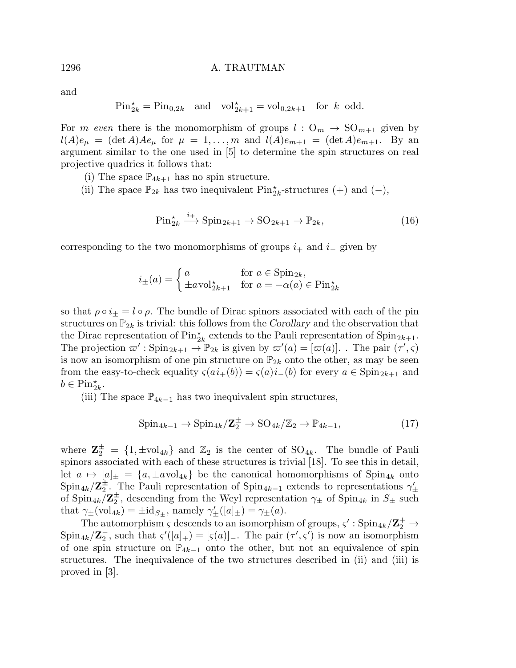and

$$
\text{Pin}_{2k}^{\star} = \text{Pin}_{0,2k} \quad \text{and} \quad \text{vol}_{2k+1}^{\star} = \text{vol}_{0,2k+1} \quad \text{for } k \text{ odd.}
$$

For m even there is the monomorphism of groups  $l: O_m \to SO_{m+1}$  given by  $l(A)e_{\mu} = (\det A)Ae_{\mu}$  for  $\mu = 1, \ldots, m$  and  $l(A)e_{m+1} = (\det A)e_{m+1}$ . By an argument similar to the one used in [5] to determine the spin structures on real projective quadrics it follows that:

- (i) The space  $\mathbb{P}_{4k+1}$  has no spin structure.
- (ii) The space  $\mathbb{P}_{2k}$  has two inequivalent Pin<sub>2<sup>k</sub></sup>-structures (+) and (-),</sub>

$$
\text{Pin}_{2k}^{\star} \xrightarrow{i_{\pm}} \text{Spin}_{2k+1} \to \text{SO}_{2k+1} \to \mathbb{P}_{2k},\tag{16}
$$

corresponding to the two monomorphisms of groups  $i_+$  and  $i_-\$  given by

$$
i_{\pm}(a) = \begin{cases} a & \text{for } a \in \text{Spin}_{2k}, \\ \pm a \text{vol}_{2k+1}^{\star} & \text{for } a = -\alpha(a) \in \text{Pin}_{2k}^{\star} \end{cases}
$$

so that  $\rho \circ i_{\pm} = l \circ \rho$ . The bundle of Dirac spinors associated with each of the pin structures on  $\mathbb{P}_{2k}$  is trivial: this follows from the Corollary and the observation that the Dirac representation of  $\text{Pin}_{2k}^{\star}$  extends to the Pauli representation of  $\text{Spin}_{2k+1}$ . The projection  $\varpi'$ : Spin<sub>2k+1</sub>  $\to \mathbb{P}_{2k}$  is given by  $\varpi'(a) = [\varpi(a)]$ . The pair  $(\tau', \varsigma)$ is now an isomorphism of one pin structure on  $\mathbb{P}_{2k}$  onto the other, as may be seen from the easy-to-check equality  $\varsigma(ai_{+}(b)) = \varsigma(a)i_{-}(b)$  for every  $a \in \mathrm{Spin}_{2k+1}$  and  $b \in \text{Pin}_{2k}^{\star}.$ 

(iii) The space  $\mathbb{P}_{4k-1}$  has two inequivalent spin structures,

$$
\operatorname{Spin}_{4k-1} \to \operatorname{Spin}_{4k}/\mathbb{Z}_2^{\pm} \to \operatorname{SO}_{4k}/\mathbb{Z}_2 \to \mathbb{P}_{4k-1},\tag{17}
$$

where  $\mathbf{Z}_2^{\pm} = \{1, \pm \text{vol}_{4k}\}\$  and  $\mathbb{Z}_2$  is the center of  $SO_{4k}$ . The bundle of Pauli spinors associated with each of these structures is trivial [18]. To see this in detail, let  $a \mapsto [a]_{\pm} = \{a, \pm a \text{vol}_{4k}\}\$ be the canonical homomorphisms of Spin<sub>4k</sub> onto  $\mathrm{Spin}_{4k}/\mathrm{Z}_2^\pm$  $\frac{\pm}{2}$ . The Pauli representation of Spin<sub>4k−1</sub> extends to representations  $\gamma'_{\pm}$ of  $\text{Spin}_{4k}/\mathbf{Z}_2^{\pm}$  $\frac{1}{2}$ , descending from the Weyl representation  $\gamma_{\pm}$  of Spin<sub>4k</sub> in  $S_{\pm}$  such that  $\gamma_{\pm}(\text{vol}_{4k}) = \pm \text{id}_{S_{\pm}}$ , namely  $\gamma'_{\pm}([a]_{\pm}) = \gamma_{\pm}(a)$ .

The automorphism  $\zeta$  descends to an isomorphism of groups,  $\zeta' :$  Spin<sub>4k</sub>/ $\mathbb{Z}_2^+ \to$  $\mathrm{Spin}_{4k}/\mathbf{Z}_2^ \overline{C}$ , such that  $\varsigma'([a]_+) = [\varsigma(a)]_-.$  The pair  $(\tau', \varsigma')$  is now an isomorphism of one spin structure on  $\mathbb{P}_{4k-1}$  onto the other, but not an equivalence of spin structures. The inequivalence of the two structures described in (ii) and (iii) is proved in [3].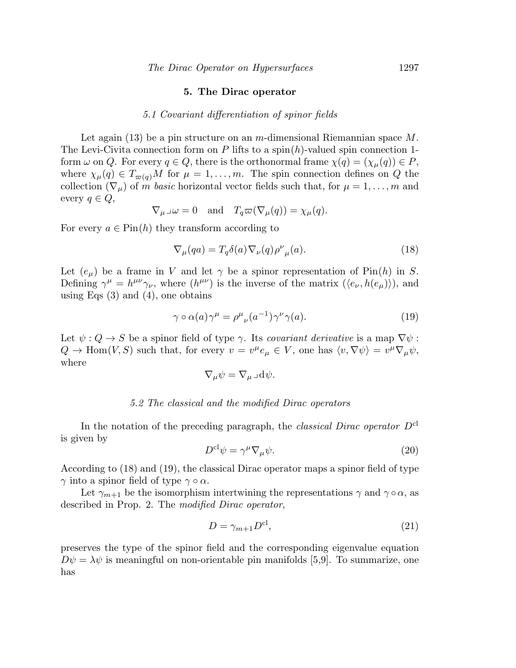#### 5. The Dirac operator

#### 5.1 Covariant differentiation of spinor fields

Let again (13) be a pin structure on an m-dimensional Riemannian space  $M$ . The Levi-Civita connection form on P lifts to a spin $(h)$ -valued spin connection 1form  $\omega$  on Q. For every  $q \in Q$ , there is the orthonormal frame  $\chi(q) = (\chi_{\mu}(q)) \in P$ , where  $\chi_{\mu}(q) \in T_{\varpi(q)}M$  for  $\mu = 1, \ldots, m$ . The spin connection defines on Q the collection  $(\nabla_{\mu})$  of m basic horizontal vector fields such that, for  $\mu = 1, \ldots, m$  and every  $q \in Q$ ,

$$
\nabla_{\mu}\lrcorner\omega=0
$$
 and  $T_q\varpi(\nabla_{\mu}(q))=\chi_{\mu}(q).$ 

For every  $a \in Pin(h)$  they transform according to

$$
\nabla_{\mu}(qa) = T_q \delta(a) \nabla_{\nu}(q) \rho^{\nu}{}_{\mu}(a). \tag{18}
$$

Let  $(e_{\mu})$  be a frame in V and let  $\gamma$  be a spinor representation of Pin(h) in S. Defining  $\gamma^{\mu} = h^{\mu\nu}\gamma_{\nu}$ , where  $(h^{\mu\nu})$  is the inverse of the matrix  $(\langle e_{\nu}, h(e_{\mu}) \rangle)$ , and using Eqs  $(3)$  and  $(4)$ , one obtains

$$
\gamma \circ \alpha(a)\gamma^{\mu} = \rho^{\mu}{}_{\nu}(a^{-1})\gamma^{\nu}\gamma(a). \tag{19}
$$

Let  $\psi: Q \to S$  be a spinor field of type  $\gamma$ . Its covariant derivative is a map  $\nabla \psi$ :  $Q \to \text{Hom}(V, S)$  such that, for every  $v = v^{\mu} e_{\mu} \in V$ , one has  $\langle v, \nabla \psi \rangle = v^{\mu} \nabla_{\mu} \psi$ , where

$$
\nabla_{\mu}\psi = \nabla_{\mu}\lrcorner\,\mathrm{d}\psi.
$$

#### 5.2 The classical and the modified Dirac operators

In the notation of the preceding paragraph, the *classical Dirac operator*  $D^{cl}$ is given by

$$
D^{\text{cl}}\psi = \gamma^{\mu}\nabla_{\mu}\psi. \tag{20}
$$

According to (18) and (19), the classical Dirac operator maps a spinor field of type  $\gamma$  into a spinor field of type  $\gamma \circ \alpha$ .

Let  $\gamma_{m+1}$  be the isomorphism intertwining the representations  $\gamma$  and  $\gamma \circ \alpha$ , as described in Prop. 2. The modified Dirac operator,

$$
D = \gamma_{m+1} D^{\text{cl}},\tag{21}
$$

preserves the type of the spinor field and the corresponding eigenvalue equation  $D\psi = \lambda \psi$  is meaningful on non-orientable pin manifolds [5,9]. To summarize, one has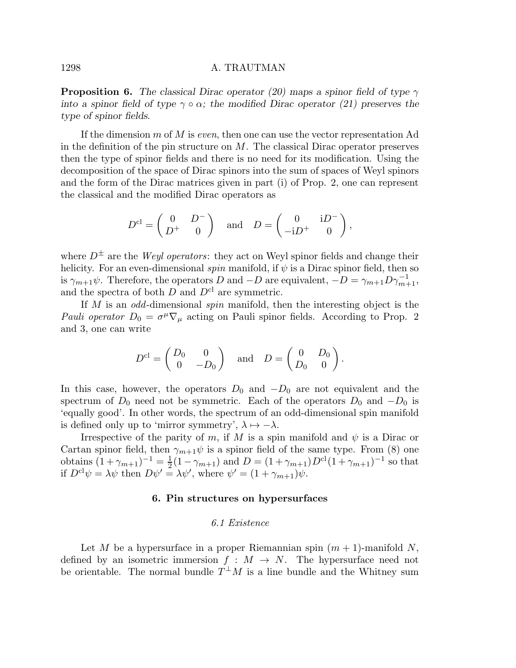**Proposition 6.** The classical Dirac operator (20) maps a spinor field of type  $\gamma$ into a spinor field of type  $\gamma \circ \alpha$ ; the modified Dirac operator (21) preserves the type of spinor fields.

If the dimension  $m$  of  $M$  is *even*, then one can use the vector representation Ad in the definition of the pin structure on  $M$ . The classical Dirac operator preserves then the type of spinor fields and there is no need for its modification. Using the decomposition of the space of Dirac spinors into the sum of spaces of Weyl spinors and the form of the Dirac matrices given in part (i) of Prop. 2, one can represent the classical and the modified Dirac operators as

$$
D^{\text{cl}} = \begin{pmatrix} 0 & D^- \\ D^+ & 0 \end{pmatrix} \text{ and } D = \begin{pmatrix} 0 & \mathrm{i} D^- \\ -\mathrm{i} D^+ & 0 \end{pmatrix},
$$

where  $D^{\pm}$  are the *Weyl operators*: they act on Weyl spinor fields and change their helicity. For an even-dimensional spin manifold, if  $\psi$  is a Dirac spinor field, then so is  $\gamma_{m+1}\psi$ . Therefore, the operators D and  $-D$  are equivalent,  $-D = \gamma_{m+1}D\gamma_{m+1}^{-1}$ , and the spectra of both  $D$  and  $D^{cl}$  are symmetric.

If M is an odd-dimensional spin manifold, then the interesting object is the Pauli operator  $D_0 = \sigma^\mu \nabla_\mu$  acting on Pauli spinor fields. According to Prop. 2 and 3, one can write

$$
D^{\mathrm{cl}} = \begin{pmatrix} D_0 & 0 \\ 0 & -D_0 \end{pmatrix} \quad \text{and} \quad D = \begin{pmatrix} 0 & D_0 \\ D_0 & 0 \end{pmatrix}.
$$

In this case, however, the operators  $D_0$  and  $-D_0$  are not equivalent and the spectrum of  $D_0$  need not be symmetric. Each of the operators  $D_0$  and  $-D_0$  is 'equally good'. In other words, the spectrum of an odd-dimensional spin manifold is defined only up to 'mirror symmetry',  $\lambda \mapsto -\lambda$ .

Irrespective of the parity of m, if M is a spin manifold and  $\psi$  is a Dirac or Cartan spinor field, then  $\gamma_{m+1}\psi$  is a spinor field of the same type. From (8) one obtains  $(1 + \gamma_{m+1})^{-1} = \frac{1}{2}$  $\frac{1}{2}(1 - \gamma_{m+1})$  and  $D = (1 + \gamma_{m+1})D^{\text{cl}}(1 + \gamma_{m+1})^{-1}$  so that if  $D^{cl}\psi = \lambda \psi$  then  $D\psi' = \lambda \psi'$ , where  $\psi' = (1 + \gamma_{m+1})\psi$ .

## 6. Pin structures on hypersurfaces

#### 6.1 Existence

Let M be a hypersurface in a proper Riemannian spin  $(m + 1)$ -manifold N, defined by an isometric immersion  $f : M \to N$ . The hypersurface need not be orientable. The normal bundle  $T^{\perp}M$  is a line bundle and the Whitney sum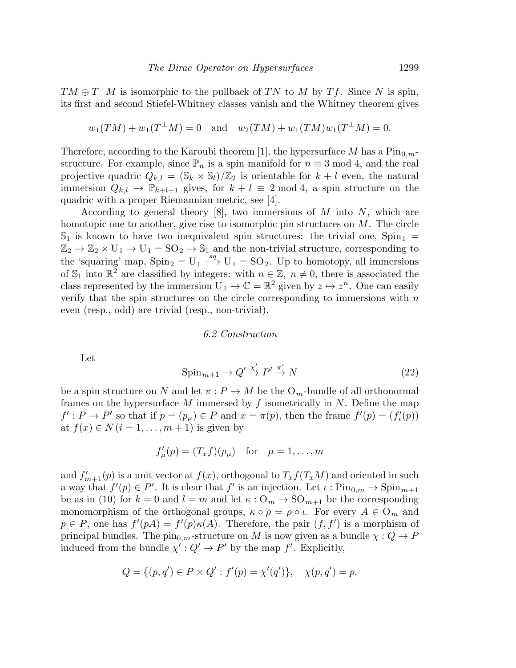$TM \oplus T^{\perp}M$  is isomorphic to the pullback of TN to M by Tf. Since N is spin, its first and second Stiefel-Whitney classes vanish and the Whitney theorem gives

$$
w_1(TM) + w_1(T^{\perp}M) = 0
$$
 and  $w_2(TM) + w_1(TM)w_1(T^{\perp}M) = 0.$ 

Therefore, according to the Karoubi theorem [1], the hypersurface M has a  $\text{Pin}_{0,m-1}$ structure. For example, since  $\mathbb{P}_n$  is a spin manifold for  $n \equiv 3 \mod 4$ , and the real projective quadric  $Q_{k,l} = (\mathbb{S}_k \times \mathbb{S}_l)/\mathbb{Z}_2$  is orientable for  $k+l$  even, the natural immersion  $Q_{k,l} \to \mathbb{P}_{k+l+1}$  gives, for  $k+l \equiv 2 \mod 4$ , a spin structure on the quadric with a proper Riemannian metric, see [4].

According to general theory  $[8]$ , two immersions of M into N, which are homotopic one to another, give rise to isomorphic pin structures on  $M$ . The circle  $\mathbb{S}_1$  is known to have two inequivalent spin structures: the trivial one,  $Spin_1 =$  $\mathbb{Z}_2 \to \mathbb{Z}_2 \times U_1 \to U_1 = SO_2 \to \mathbb{S}_1$  and the non-trivial structure, corresponding to the 'squaring' map,  $Spin_2 = U_1 \stackrel{sq}{\longrightarrow} U_1 = SO_2$ . Up to homotopy, all immersions of  $\mathbb{S}_1$  into  $\mathbb{R}^2$  are classified by integers: with  $n \in \mathbb{Z}$ ,  $n \neq 0$ , there is associated the class represented by the immersion  $U_1 \to \mathbb{C} = \mathbb{R}^2$  given by  $z \mapsto z^n$ . One can easily verify that the spin structures on the circle corresponding to immersions with  $n$ even (resp., odd) are trivial (resp., non-trivial).

#### 6.2 Construction

Let

$$
\operatorname{Spin}_{m+1} \to Q' \xrightarrow{\chi'} P' \xrightarrow{\pi'} N \tag{22}
$$

be a spin structure on N and let  $\pi : P \to M$  be the  $O_m$ -bundle of all orthonormal frames on the hypersurface M immersed by  $f$  isometrically in  $N$ . Define the map  $f': P \to P'$  so that if  $p = (p_\mu) \in P$  and  $x = \pi(p)$ , then the frame  $f'(p) = (f'_i(p))$ at  $f(x) \in N$   $(i = 1, \ldots, m + 1)$  is given by

$$
f'_{\mu}(p) = (T_x f)(p_{\mu}) \quad \text{for} \quad \mu = 1, \dots, m
$$

and  $f'_{m+1}(p)$  is a unit vector at  $f(x)$ , orthogonal to  $T_x f(T_x M)$  and oriented in such a way that  $f'(p) \in P'$ . It is clear that  $f'$  is an injection. Let  $\iota : Pin_{0,m} \to Spin_{m+1}$ be as in (10) for  $k = 0$  and  $l = m$  and let  $\kappa : \mathcal{O}_m \to \mathcal{SO}_{m+1}$  be the corresponding monomorphism of the orthogonal groups,  $\kappa \circ \rho = \rho \circ \iota$ . For every  $A \in \mathcal{O}_m$  and  $p \in P$ , one has  $f'(p) = f'(p) \kappa(A)$ . Therefore, the pair  $(f, f')$  is a morphism of principal bundles. The  $\text{pin}_{0,m}$ -structure on M is now given as a bundle  $\chi: Q \to P$ induced from the bundle  $\chi': Q' \to P'$  by the map f'. Explicitly,

$$
Q = \{(p, q') \in P \times Q' : f'(p) = \chi'(q')\}, \quad \chi(p, q') = p.
$$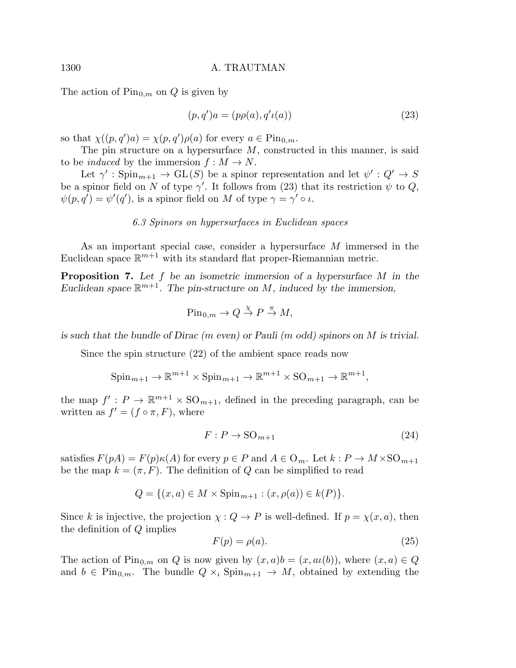The action of  $\text{Pin}_{0,m}$  on Q is given by

$$
(p, q')a = (p\rho(a), q'\iota(a))
$$
\n(23)

so that  $\chi((p,q')a) = \chi(p,q')\rho(a)$  for every  $a \in \text{Pin}_{0,m}$ .

The pin structure on a hypersurface  $M$ , constructed in this manner, is said to be *induced* by the immersion  $f : M \to N$ .

Let  $\gamma' : Spin_{m+1} \to GL(S)$  be a spinor representation and let  $\psi' : Q' \to S$ be a spinor field on N of type  $\gamma'$ . It follows from (23) that its restriction  $\psi$  to Q,  $\psi(p,q') = \psi'(q')$ , is a spinor field on M of type  $\gamma = \gamma' \circ \iota$ .

#### 6.3 Spinors on hypersurfaces in Euclidean spaces

As an important special case, consider a hypersurface M immersed in the Euclidean space  $\mathbb{R}^{m+1}$  with its standard flat proper-Riemannian metric.

**Proposition 7.** Let  $f$  be an isometric immersion of a hypersurface  $M$  in the Euclidean space  $\mathbb{R}^{m+1}$ . The pin-structure on M, induced by the immersion,

$$
\text{Pin}_{0,m} \to Q \stackrel{\chi}{\to} P \stackrel{\pi}{\to} M,
$$

is such that the bundle of Dirac (m even) or Pauli (m odd) spinors on M is trivial.

Since the spin structure (22) of the ambient space reads now

$$
\text{Spin}_{m+1} \to \mathbb{R}^{m+1} \times \text{Spin}_{m+1} \to \mathbb{R}^{m+1} \times \text{SO}_{m+1} \to \mathbb{R}^{m+1},
$$

the map  $f': P \to \mathbb{R}^{m+1} \times \text{SO}_{m+1}$ , defined in the preceding paragraph, can be written as  $f' = (f \circ \pi, F)$ , where

$$
F: P \to \mathrm{SO}_{m+1} \tag{24}
$$

satisfies  $F(pA) = F(p)\kappa(A)$  for every  $p \in P$  and  $A \in \mathcal{O}_m$ . Let  $k : P \to M \times {\rm SO}_{m+1}$ be the map  $k = (\pi, F)$ . The definition of Q can be simplified to read

$$
Q = \{(x, a) \in M \times \text{Spin}_{m+1} : (x, \rho(a)) \in k(P)\}.
$$

Since k is injective, the projection  $\chi: Q \to P$  is well-defined. If  $p = \chi(x, a)$ , then the definition of Q implies

$$
F(p) = \rho(a). \tag{25}
$$

The action of  $\text{Pin}_{0,m}$  on Q is now given by  $(x, a)b = (x, a\iota(b))$ , where  $(x, a) \in Q$ and  $b \in \text{Pin}_{0,m}$ . The bundle  $Q \times_{\iota} \text{Spin}_{m+1} \to M$ , obtained by extending the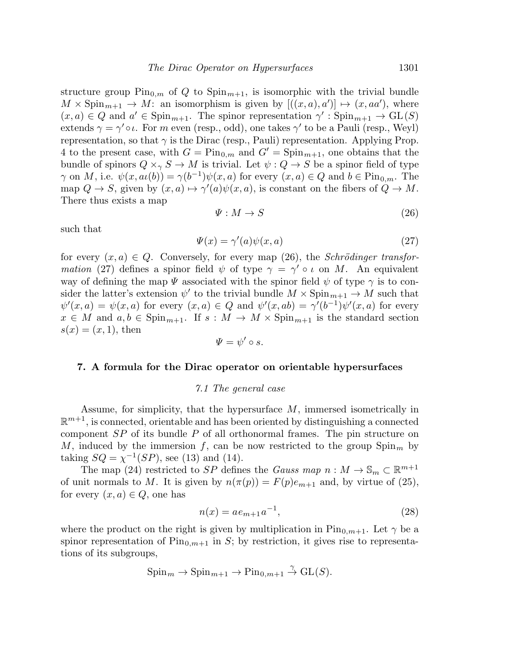structure group  $\text{Pin}_{0,m}$  of Q to  $\text{Spin}_{m+1}$ , is isomorphic with the trivial bundle  $M \times \text{Spin}_{m+1} \to M$ : an isomorphism is given by  $[((x, a), a')] \mapsto (x, aa')$ , where  $(x, a) \in Q$  and  $a' \in \text{Spin}_{m+1}$ . The spinor representation  $\gamma' : \text{Spin}_{m+1} \to \text{GL}(S)$ extends  $\gamma = \gamma' \circ \iota$ . For m even (resp., odd), one takes  $\gamma'$  to be a Pauli (resp., Weyl) representation, so that  $\gamma$  is the Dirac (resp., Pauli) representation. Applying Prop. 4 to the present case, with  $G = \text{Pin}_{0,m}$  and  $G' = \text{Spin}_{m+1}$ , one obtains that the bundle of spinors  $Q \times_{\gamma} S \to M$  is trivial. Let  $\psi : Q \to S$  be a spinor field of type  $\gamma$  on M, i.e.  $\psi(x, a\iota(b)) = \gamma(b^{-1})\psi(x, a)$  for every  $(x, a) \in Q$  and  $b \in \text{Pin}_{0,m}$ . The map  $Q \to S$ , given by  $(x, a) \mapsto \gamma'(a)\psi(x, a)$ , is constant on the fibers of  $Q \to M$ . There thus exists a map

$$
\Psi: M \to S \tag{26}
$$

such that

$$
\Psi(x) = \gamma'(a)\psi(x,a) \tag{27}
$$

for every  $(x, a) \in Q$ . Conversely, for every map (26), the *Schrödinger transfor*mation (27) defines a spinor field  $\psi$  of type  $\gamma = \gamma' \circ \iota$  on M. An equivalent way of defining the map  $\Psi$  associated with the spinor field  $\psi$  of type  $\gamma$  is to consider the latter's extension  $\psi'$  to the trivial bundle  $M \times {\rm Spin}_{m+1} \to M$  such that  $\psi'(x, a) = \psi(x, a)$  for every  $(x, a) \in Q$  and  $\psi'(x, ab) = \gamma'(b^{-1})\psi'(x, a)$  for every  $x \in M$  and  $a, b \in \text{Spin}_{m+1}$ . If  $s : M \to M \times \text{Spin}_{m+1}$  is the standard section  $s(x) = (x, 1)$ , then

$$
\varPsi=\psi'\circ s.
$$

#### 7. A formula for the Dirac operator on orientable hypersurfaces

#### 7.1 The general case

Assume, for simplicity, that the hypersurface  $M$ , immersed isometrically in  $\mathbb{R}^{m+1}$ , is connected, orientable and has been oriented by distinguishing a connected component  $SP$  of its bundle  $P$  of all orthonormal frames. The pin structure on M, induced by the immersion f, can be now restricted to the group  $Spin_m$  by taking  $SQ = \chi^{-1}(SP)$ , see (13) and (14).

The map (24) restricted to SP defines the Gauss map  $n : M \to \mathbb{S}_m \subset \mathbb{R}^{m+1}$ of unit normals to M. It is given by  $n(\pi(p)) = F(p)e_{m+1}$  and, by virtue of (25), for every  $(x, a) \in Q$ , one has

$$
n(x) = ae_{m+1}a^{-1},
$$
\n(28)

where the product on the right is given by multiplication in  $Pin_{0,m+1}$ . Let  $\gamma$  be a spinor representation of  $\text{Pin}_{0,m+1}$  in S; by restriction, it gives rise to representations of its subgroups,

$$
\mathrm{Spin}_m \to \mathrm{Spin}_{m+1} \to \mathrm{Pin}_{0,m+1} \overset{\gamma}{\to} \mathrm{GL}(S).
$$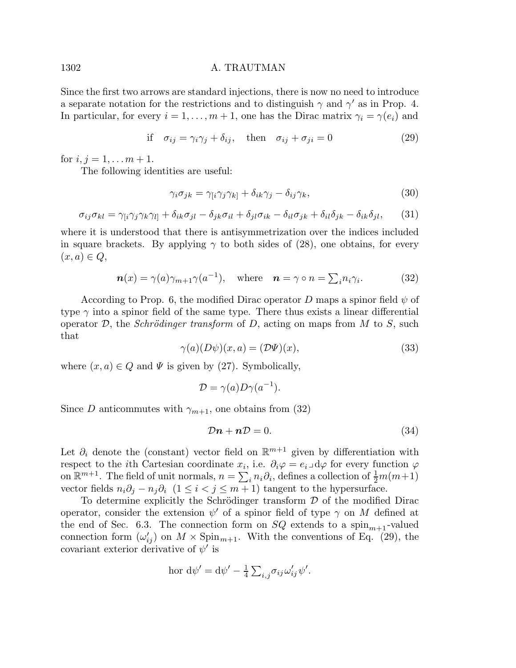Since the first two arrows are standard injections, there is now no need to introduce a separate notation for the restrictions and to distinguish  $\gamma$  and  $\gamma'$  as in Prop. 4. In particular, for every  $i = 1, \ldots, m + 1$ , one has the Dirac matrix  $\gamma_i = \gamma(e_i)$  and

if 
$$
\sigma_{ij} = \gamma_i \gamma_j + \delta_{ij}
$$
, then  $\sigma_{ij} + \sigma_{ji} = 0$  (29)

for  $i, j = 1, \ldots m + 1$ .

The following identities are useful:

$$
\gamma_i \sigma_{jk} = \gamma_{[i} \gamma_j \gamma_{k]} + \delta_{ik} \gamma_j - \delta_{ij} \gamma_k, \tag{30}
$$

$$
\sigma_{ij}\sigma_{kl} = \gamma_{[i}\gamma_j\gamma_k\gamma_{l]} + \delta_{ik}\sigma_{jl} - \delta_{jk}\sigma_{il} + \delta_{jl}\sigma_{ik} - \delta_{il}\sigma_{jk} + \delta_{il}\delta_{jk} - \delta_{ik}\delta_{jl},\tag{31}
$$

where it is understood that there is antisymmetrization over the indices included in square brackets. By applying  $\gamma$  to both sides of (28), one obtains, for every  $(x, a) \in Q$ ,

$$
\boldsymbol{n}(x) = \gamma(a)\gamma_{m+1}\gamma(a^{-1}), \quad \text{where} \quad \boldsymbol{n} = \gamma \circ n = \sum_{i} n_{i}\gamma_{i}.
$$
 (32)

According to Prop. 6, the modified Dirac operator D maps a spinor field  $\psi$  of type  $\gamma$  into a spinor field of the same type. There thus exists a linear differential operator  $\mathcal{D}$ , the *Schrödinger transform* of  $D$ , acting on maps from  $M$  to  $S$ , such that

$$
\gamma(a)(D\psi)(x,a) = (\mathcal{D}\Psi)(x),\tag{33}
$$

where  $(x, a) \in Q$  and  $\Psi$  is given by (27). Symbolically,

$$
\mathcal{D} = \gamma(a) D\gamma(a^{-1}).
$$

Since D anticommutes with  $\gamma_{m+1}$ , one obtains from (32)

$$
\mathcal{D}\boldsymbol{n} + \boldsymbol{n}\mathcal{D} = 0. \tag{34}
$$

Let  $\partial_i$  denote the (constant) vector field on  $\mathbb{R}^{m+1}$  given by differentiation with respect to the *i*<sup>th</sup> Cartesian coordinate  $x_i$ , i.e.  $\partial_i \varphi = e_i \Box \mathrm{d} \varphi$  for every function  $\varphi$ on  $\mathbb{R}^{m+1}$ . The field of unit normals,  $n = \sum_i n_i \partial_i$ , defines a collection of  $\frac{1}{2}m(m+1)$ vector fields  $n_i\partial_j - n_j\partial_i$  (1 ≤ i < j ≤ m + 1) tangent to the hypersurface.

To determine explicitly the Schrödinger transform  $D$  of the modified Dirac operator, consider the extension  $\psi'$  of a spinor field of type  $\gamma$  on M defined at the end of Sec. 6.3. The connection form on  $SQ$  extends to a spin<sub>m+1</sub>-valued connection form  $(\omega'_{ij})$  on  $M \times \text{Spin}_{m+1}$ . With the conventions of Eq. (29), the covariant exterior derivative of  $\psi'$  is

$$
\text{hor } d\psi' = d\psi' - \frac{1}{4} \sum_{i,j} \sigma_{ij} \omega'_{ij} \psi'.
$$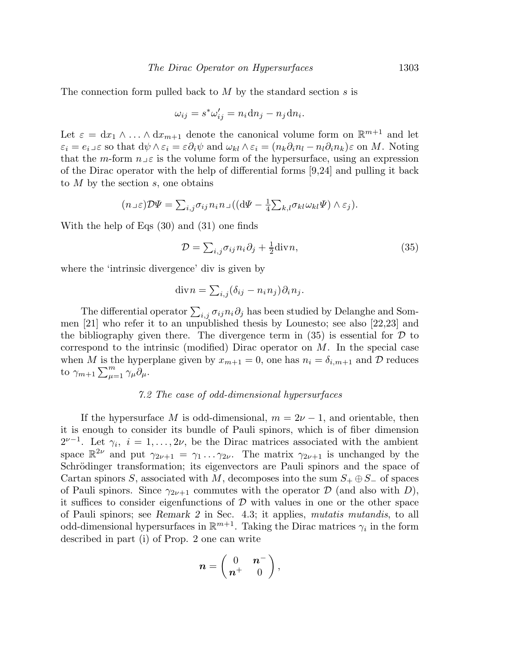The connection form pulled back to  $M$  by the standard section  $s$  is

$$
\omega_{ij} = s^* \omega'_{ij} = n_i \mathrm{d} n_j - n_j \mathrm{d} n_i.
$$

Let  $\varepsilon = dx_1 \wedge ... \wedge dx_{m+1}$  denote the canonical volume form on  $\mathbb{R}^{m+1}$  and let  $\varepsilon_i = e_i$  so that  $d\psi \wedge \varepsilon_i = \varepsilon \partial_i \psi$  and  $\omega_{kl} \wedge \varepsilon_i = (n_k \partial_i n_l - n_l \partial_i n_k) \varepsilon$  on M. Noting that the m-form  $n \in \mathcal{E}$  is the volume form of the hypersurface, using an expression of the Dirac operator with the help of differential forms [9,24] and pulling it back to  $M$  by the section  $s$ , one obtains

$$
(n \log \mathcal{D}\Psi) = \sum_{i,j} \sigma_{ij} n_i n \log \left( (\mathrm{d}\Psi - \frac{1}{4} \sum_{k,l} \sigma_{kl} \omega_{kl} \Psi) \wedge \varepsilon_j \right).
$$

With the help of Eqs (30) and (31) one finds

$$
\mathcal{D} = \sum_{i,j} \sigma_{ij} n_i \partial_j + \frac{1}{2} \text{div} \, n,\tag{35}
$$

where the 'intrinsic divergence' div is given by

$$
\mathrm{div} n = \sum_{i,j} (\delta_{ij} - n_i n_j) \partial_i n_j.
$$

The differential operator  $\sum_{i,j} \sigma_{ij} n_i \partial_j$  has been studied by Delanghe and Sommen [21] who refer it to an unpublished thesis by Lounesto; see also [22,23] and the bibliography given there. The divergence term in  $(35)$  is essential for  $\mathcal D$  to correspond to the intrinsic (modified) Dirac operator on  $M$ . In the special case when M is the hyperplane given by  $x_{m+1} = 0$ , one has  $n_i = \delta_{i,m+1}$  and D reduces to  $\gamma_{m+1} \sum_{\mu=1}^m \gamma_{\mu} \partial_{\mu}$ .

# 7.2 The case of odd-dimensional hypersurfaces

If the hypersurface M is odd-dimensional,  $m = 2\nu - 1$ , and orientable, then it is enough to consider its bundle of Pauli spinors, which is of fiber dimension  $2^{\nu-1}$ . Let  $\gamma_i$ ,  $i = 1, \ldots, 2\nu$ , be the Dirac matrices associated with the ambient space  $\mathbb{R}^{2\nu}$  and put  $\gamma_{2\nu+1} = \gamma_1 \ldots \gamma_{2\nu}$ . The matrix  $\gamma_{2\nu+1}$  is unchanged by the Schrödinger transformation; its eigenvectors are Pauli spinors and the space of Cartan spinors S, associated with M, decomposes into the sum  $S_+ \oplus S_-$  of spaces of Pauli spinors. Since  $\gamma_{2\nu+1}$  commutes with the operator  $\mathcal D$  (and also with D), it suffices to consider eigenfunctions of  $\mathcal D$  with values in one or the other space of Pauli spinors; see Remark 2 in Sec. 4.3; it applies, mutatis mutandis, to all odd-dimensional hypersurfaces in  $\mathbb{R}^{m+1}$ . Taking the Dirac matrices  $\gamma_i$  in the form described in part (i) of Prop. 2 one can write

$$
\boldsymbol{n} = \begin{pmatrix} 0 & \boldsymbol{n}^- \\ \boldsymbol{n}^+ & 0 \end{pmatrix},
$$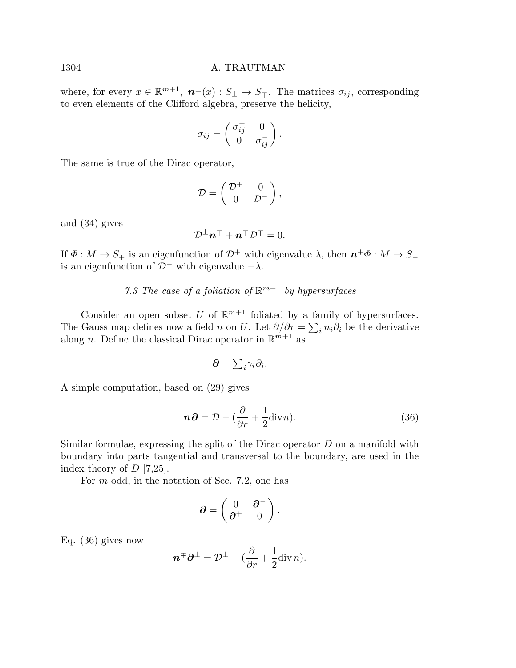where, for every  $x \in \mathbb{R}^{m+1}$ ,  $n^{\pm}(x) : S_{\pm} \to S_{\mp}$ . The matrices  $\sigma_{ij}$ , corresponding to even elements of the Clifford algebra, preserve the helicity,

$$
\sigma_{ij} = \begin{pmatrix} \sigma_{ij}^+ & 0 \\ 0 & \sigma_{ij}^- \end{pmatrix}.
$$

The same is true of the Dirac operator,

$$
\mathcal{D} = \begin{pmatrix} \mathcal{D}^+ & 0 \\ 0 & \mathcal{D}^- \end{pmatrix},
$$

and (34) gives

$$
\mathcal{D}^{\pm}\boldsymbol{n}^{\mp}+\boldsymbol{n}^{\mp}\mathcal{D}^{\mp}=0.
$$

If  $\Phi : M \to S_+$  is an eigenfunction of  $\mathcal{D}^+$  with eigenvalue  $\lambda$ , then  $n^+\Phi : M \to S_$ is an eigenfunction of  $\mathcal{D}^-$  with eigenvalue  $-\lambda$ .

# 7.3 The case of a foliation of  $\mathbb{R}^{m+1}$  by hypersurfaces

Consider an open subset U of  $\mathbb{R}^{m+1}$  foliated by a family of hypersurfaces. The Gauss map defines now a field n on U. Let  $\partial/\partial r = \sum_i n_i \partial_i$  be the derivative along *n*. Define the classical Dirac operator in  $\mathbb{R}^{m+1}$  as

$$
\partial = \sum_i \gamma_i \partial_i.
$$

A simple computation, based on (29) gives

$$
n\partial = \mathcal{D} - (\frac{\partial}{\partial r} + \frac{1}{2} \text{div} n). \tag{36}
$$

Similar formulae, expressing the split of the Dirac operator  $D$  on a manifold with boundary into parts tangential and transversal to the boundary, are used in the index theory of  $D$  [7,25].

For m odd, in the notation of Sec. 7.2, one has

$$
\partial=\begin{pmatrix} 0&\partial^-\\ \partial^+&0\end{pmatrix}.
$$

Eq. (36) gives now

$$
\boldsymbol{n}^{\mp}\boldsymbol{\partial}^{\pm}=\mathcal{D}^{\pm}-(\frac{\partial}{\partial r}+\frac{1}{2}\mathrm{div}\,n).
$$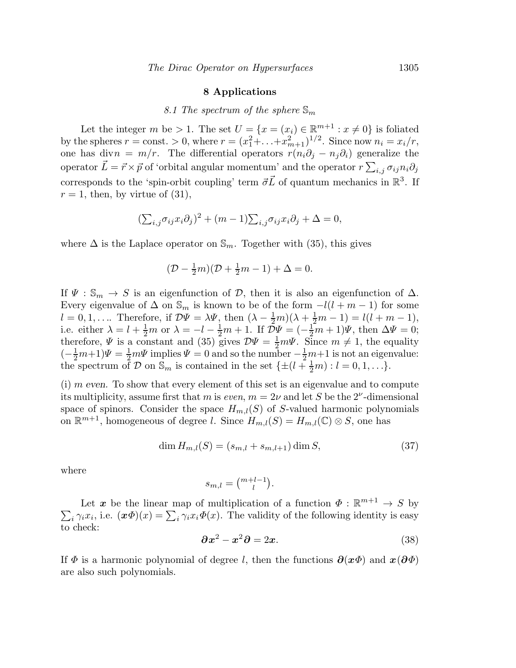#### 8 Applications

# 8.1 The spectrum of the sphere  $\mathbb{S}_m$

Let the integer m be > 1. The set  $U = \{x = (x_i) \in \mathbb{R}^{m+1} : x \neq 0\}$  is foliated by the spheres  $r = \text{const.} > 0$ , where  $r = (x_1^2 + ... + x_{m+1}^2)^{1/2}$ . Since now  $n_i = x_i/r$ , one has divn =  $m/r$ . The differential operators  $r(n_i\partial_i - n_j\partial_i)$  generalize the operator  $\vec{L} = \vec{r} \times \vec{p}$  of 'orbital angular momentum' and the operator  $r \sum_{i,j} \sigma_{ij} n_i \partial_j$ corresponds to the 'spin-orbit coupling' term  $\vec{\sigma} \vec{L}$  of quantum mechanics in  $\mathbb{R}^3$ . If  $r = 1$ , then, by virtue of (31),

$$
(\sum_{i,j} \sigma_{ij} x_i \partial_j)^2 + (m-1) \sum_{i,j} \sigma_{ij} x_i \partial_j + \Delta = 0,
$$

where  $\Delta$  is the Laplace operator on  $\mathbb{S}_m$ . Together with (35), this gives

$$
(\mathcal{D} - \frac{1}{2}m)(\mathcal{D} + \frac{1}{2}m - 1) + \Delta = 0.
$$

If  $\Psi$  :  $\mathbb{S}_m \to S$  is an eigenfunction of  $\mathcal{D}$ , then it is also an eigenfunction of  $\Delta$ . Every eigenvalue of  $\Delta$  on  $\mathbb{S}_m$  is known to be of the form  $-l(l+m-1)$  for some  $l = 0, 1, \ldots$  Therefore, if  $\mathcal{D}\Psi = \lambda \Psi$ , then  $(\lambda - \frac{1}{2}m)(\lambda + \frac{1}{2}m - 1) = l(l + m - 1)$ , i.e. either  $\lambda = l + \frac{1}{2}m$  or  $\lambda = -l - \frac{1}{2}m + 1$ . If  $\tilde{\mathcal{D}}\Psi = (-\frac{1}{2}m + 1)\Psi$ , then  $\Delta\Psi = 0$ ; therefore,  $\Psi$  is a constant and (35) gives  $\mathcal{D}\Psi = \frac{1}{2}m\Psi$ . Since  $m \neq 1$ , the equality  $\left(-\frac{1}{2}m+1\right)\Psi = \frac{1}{2}m\Psi$  implies  $\Psi = 0$  and so the number  $-\frac{1}{2}m+1$  is not an eigenvalue: the spectrum of D on  $\mathbb{S}_m$  is contained in the set  $\{\pm(l+\frac{1}{2}m): l=0,1,\ldots\}.$ 

 $(i)$  m even. To show that every element of this set is an eigenvalue and to compute its multiplicity, assume first that m is even,  $m = 2\nu$  and let S be the 2<sup> $\nu$ </sup>-dimensional space of spinors. Consider the space  $H_{m,l}(S)$  of S-valued harmonic polynomials on  $\mathbb{R}^{m+1}$ , homogeneous of degree l. Since  $H_{m,l}(S) = H_{m,l}(\mathbb{C}) \otimes S$ , one has

$$
\dim H_{m,l}(S) = (s_{m,l} + s_{m,l+1}) \dim S,
$$
\n(37)

where

$$
s_{m,l} = \binom{m+l-1}{l}.
$$

Let  $\boldsymbol{x}$  be the linear map of multiplication of a function  $\Phi : \mathbb{R}^{m+1} \to S$  by  $\sum_i \gamma_i x_i$ , i.e.  $(\mathbf{x} \Phi)(x) = \sum_i \gamma_i x_i \Phi(x)$ . The validity of the following identity is easy to check:

$$
\partial x^2 - x^2 \partial = 2x. \tag{38}
$$

If  $\Phi$  is a harmonic polynomial of degree l, then the functions  $\partial(x\Phi)$  and  $x(\partial\Phi)$ are also such polynomials.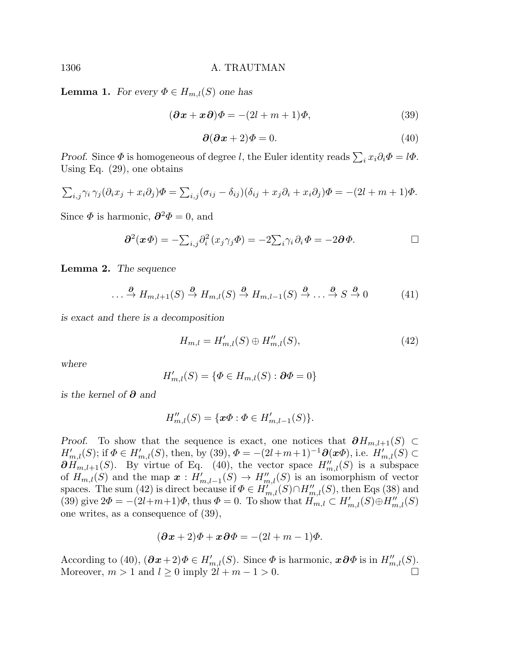**Lemma 1.** For every  $\Phi \in H_{m,l}(S)$  one has

$$
(\partial x + x \partial)\Phi = -(2l + m + 1)\Phi,
$$
\n(39)

$$
\partial(\partial x + 2)\Phi = 0. \tag{40}
$$

Proof. Since  $\Phi$  is homogeneous of degree l, the Euler identity reads  $\sum_i x_i \partial_i \Phi = l\Phi$ . Using Eq. (29), one obtains

$$
\sum_{i,j} \gamma_i \gamma_j (\partial_i x_j + x_i \partial_j) \Phi = \sum_{i,j} (\sigma_{ij} - \delta_{ij}) (\delta_{ij} + x_j \partial_i + x_i \partial_j) \Phi = -(2l + m + 1) \Phi.
$$

Since  $\Phi$  is harmonic,  $\partial^2 \Phi = 0$ , and

$$
\partial^2(x\Phi) = -\sum_{i,j}\partial_i^2(x_j\gamma_j\Phi) = -2\sum_i\gamma_i\partial_i\Phi = -2\partial\Phi.
$$

Lemma 2. The sequence

$$
\dots \xrightarrow{\partial} H_{m,l+1}(S) \xrightarrow{\partial} H_{m,l}(S) \xrightarrow{\partial} H_{m,l-1}(S) \xrightarrow{\partial} \dots \xrightarrow{\partial} S \xrightarrow{\partial} 0 \tag{41}
$$

is exact and there is a decomposition

$$
H_{m,l} = H'_{m,l}(S) \oplus H''_{m,l}(S),\tag{42}
$$

where

$$
H'_{m,l}(S) = \{ \Phi \in H_{m,l}(S) : \partial \Phi = 0 \}
$$

is the kernel of  $\partial$  and

$$
H''_{m,l}(S) = \{ \mathbf{x}\Phi : \Phi \in H'_{m,l-1}(S) \}.
$$

*Proof.* To show that the sequence is exact, one notices that  $\partial H_{m,l+1}(S)$  ⊂  $H'_{m,l}(S)$ ; if  $\Phi \in H'_{m,l}(S)$ , then, by (39),  $\Phi = -(2l+m+1)^{-1}\partial(\mathbf{x}\Phi)$ , i.e.  $H'_{m,l}(S) \subset$  $\partial H_{m,l+1}(S)$ . By virtue of Eq. (40), the vector space  $H''_{m,l}(S)$  is a subspace of  $H_{m,l}(S)$  and the map  $x: H'_{m,l-1}(S) \to H''_{m,l}(S)$  is an isomorphism of vector spaces. The sum (42) is direct because if  $\Phi \in H'_{m,l}(S) \cap H''_{m,l}(S)$ , then Eqs (38) and (39) give  $2\Phi = -(2l+m+1)\Phi$ , thus  $\Phi = 0$ . To show that  $H_{m,l} \subset H'_{m,l}(S) \oplus H''_{m,l}(S)$ one writes, as a consequence of (39),

$$
(\partial x + 2)\Phi + x\partial\Phi = -(2l + m - 1)\Phi.
$$

According to (40),  $(\partial \boldsymbol{x} + 2) \Phi \in H'_{m,l}(S)$ . Since  $\Phi$  is harmonic,  $\boldsymbol{x} \partial \Phi$  is in  $H''_{m,l}(S)$ . Moreover,  $m > 1$  and  $l \geq 0$  imply  $2l + m - 1 > 0$ .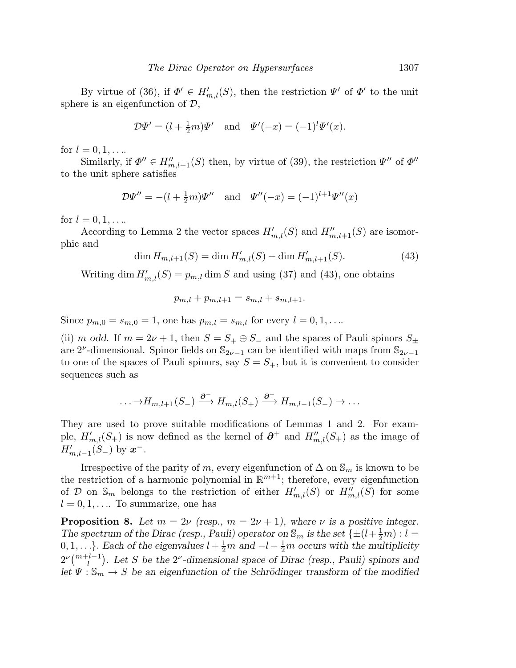By virtue of (36), if  $\Phi' \in H'_{m,l}(S)$ , then the restriction  $\Psi'$  of  $\Phi'$  to the unit sphere is an eigenfunction of  $\mathcal{D}$ ,

$$
\mathcal{D}\Psi' = (l + \frac{1}{2}m)\Psi'
$$
 and  $\Psi'(-x) = (-1)^l \Psi'(x)$ .

for  $l = 0, 1, ...$ 

Similarly, if  $\Phi'' \in H''_{m,l+1}(S)$  then, by virtue of (39), the restriction  $\Psi''$  of  $\Phi''$ to the unit sphere satisfies

$$
\mathcal{D}\Psi'' = -(l + \frac{1}{2}m)\Psi''
$$
 and  $\Psi''(-x) = (-1)^{l+1}\Psi''(x)$ 

for  $l = 0, 1, \ldots$ 

According to Lemma 2 the vector spaces  $H'_{m,l}(S)$  and  $H''_{m,l+1}(S)$  are isomorphic and

$$
\dim H_{m,l+1}(S) = \dim H'_{m,l}(S) + \dim H'_{m,l+1}(S). \tag{43}
$$

Writing dim  $H'_{m,l}(S) = p_{m,l}$  dim S and using (37) and (43), one obtains

$$
p_{m,l} + p_{m,l+1} = s_{m,l} + s_{m,l+1}.
$$

Since  $p_{m,0} = s_{m,0} = 1$ , one has  $p_{m,l} = s_{m,l}$  for every  $l = 0, 1, \ldots$ .

(ii) m odd. If  $m = 2\nu + 1$ , then  $S = S_+ \oplus S_-$  and the spaces of Pauli spinors  $S_{\pm}$ are 2<sup> $\nu$ </sup>-dimensional. Spinor fields on  $\mathbb{S}_{2\nu-1}$  can be identified with maps from  $\mathbb{S}_{2\nu-1}$ to one of the spaces of Pauli spinors, say  $S = S_{+}$ , but it is convenient to consider sequences such as

$$
\ldots \to H_{m,l+1}(S_-) \xrightarrow{\partial^-} H_{m,l}(S_+) \xrightarrow{\partial^+} H_{m,l-1}(S_-) \to \ldots
$$

They are used to prove suitable modifications of Lemmas 1 and 2. For example,  $H'_{m,l}(S_+)$  is now defined as the kernel of  $\partial^+$  and  $H''_{m,l}(S_+)$  as the image of  $H'_{m,l-1}(S_-)$  by  $x^-$ .

Irrespective of the parity of m, every eigenfunction of  $\Delta$  on  $\mathbb{S}_m$  is known to be the restriction of a harmonic polynomial in  $\mathbb{R}^{m+1}$ ; therefore, every eigenfunction of D on  $\mathbb{S}_m$  belongs to the restriction of either  $H'_{m,l}(S)$  or  $H''_{m,l}(S)$  for some  $l = 0, 1, \dots$  To summarize, one has

**Proposition 8.** Let  $m = 2\nu$  (resp.,  $m = 2\nu + 1$ ), where  $\nu$  is a positive integer. The spectrum of the Dirac (resp., Pauli) operator on  $\mathbb{S}_m$  is the set  $\{\pm(l+\frac{1}{2}m): l=1\}$ 0, 1, ...}. Each of the eigenvalues  $l + \frac{1}{2}m$  and  $-l - \frac{1}{2}m$  occurs with the multiplicity  $2^{\nu} \binom{m+l-1}{l}$ . Let S be the  $2^{\nu}$ -dimensional space of Dirac (resp., Pauli) spinors and let  $\Psi : \mathbb{S}_m \to S$  be an eigenfunction of the Schrödinger transform of the modified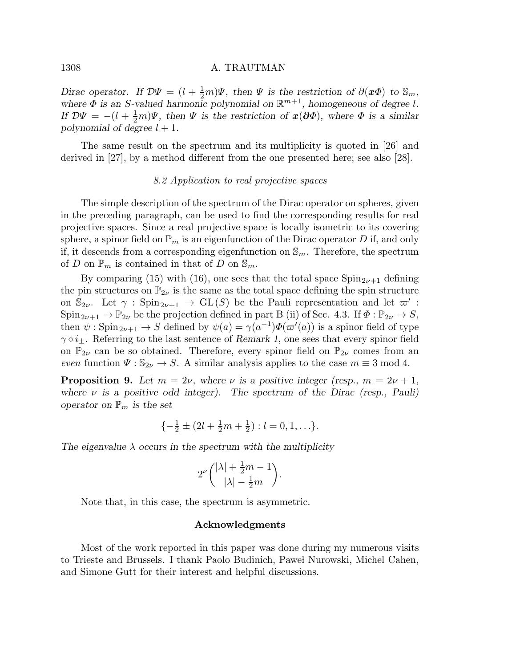Dirac operator. If  $\mathcal{D}\Psi = (l + \frac{1}{2}m)\Psi$ , then  $\Psi$  is the restriction of  $\partial(\mathbf{x}\Phi)$  to  $\mathbb{S}_m$ , where  $\Phi$  is an S-valued harmonic polynomial on  $\mathbb{R}^{m+1}$ , homogeneous of degree l. If  $\mathcal{D}\Psi = -(l + \frac{1}{2}m)\Psi$ , then  $\Psi$  is the restriction of  $\mathbf{x}(\partial \Phi)$ , where  $\Phi$  is a similar polynomial of degree  $l + 1$ .

The same result on the spectrum and its multiplicity is quoted in [26] and derived in [27], by a method different from the one presented here; see also [28].

#### 8.2 Application to real projective spaces

The simple description of the spectrum of the Dirac operator on spheres, given in the preceding paragraph, can be used to find the corresponding results for real projective spaces. Since a real projective space is locally isometric to its covering sphere, a spinor field on  $\mathbb{P}_m$  is an eigenfunction of the Dirac operator D if, and only if, it descends from a corresponding eigenfunction on  $\mathbb{S}_m$ . Therefore, the spectrum of D on  $\mathbb{P}_m$  is contained in that of D on  $\mathbb{S}_m$ .

By comparing (15) with (16), one sees that the total space  $Spin_{2\nu+1}$  defining the pin structures on  $\mathbb{P}_{2\nu}$  is the same as the total space defining the spin structure on  $\mathbb{S}_{2\nu}$ . Let  $\gamma : \text{Spin}_{2\nu+1} \to \text{GL}(S)$  be the Pauli representation and let  $\varpi'$ :  $Spin_{2\nu+1} \to \mathbb{P}_{2\nu}$  be the projection defined in part B (ii) of Sec. 4.3. If  $\Phi : \mathbb{P}_{2\nu} \to S$ , then  $\psi: \mathrm{Spin}_{2\nu+1} \to S$  defined by  $\psi(a) = \gamma(a^{-1})\Phi(\varpi'(a))$  is a spinor field of type  $\gamma \circ i_{\pm}$ . Referring to the last sentence of Remark 1, one sees that every spinor field on  $\mathbb{P}_{2\nu}$  can be so obtained. Therefore, every spinor field on  $\mathbb{P}_{2\nu}$  comes from an even function  $\Psi : \mathbb{S}_{2\nu} \to S$ . A similar analysis applies to the case  $m \equiv 3 \mod 4$ .

**Proposition 9.** Let  $m = 2\nu$ , where  $\nu$  is a positive integer (resp.,  $m = 2\nu + 1$ , where  $\nu$  is a positive odd integer). The spectrum of the Dirac (resp., Pauli) operator on  $\mathbb{P}_m$  is the set

$$
\{-\frac{1}{2} \pm (2l + \frac{1}{2}m + \frac{1}{2}) : l = 0, 1, \ldots\}.
$$

The eigenvalue  $\lambda$  occurs in the spectrum with the multiplicity

$$
2^{\nu} \binom{|\lambda| + \frac{1}{2}m - 1}{|\lambda| - \frac{1}{2}m}.
$$

Note that, in this case, the spectrum is asymmetric.

# Acknowledgments

Most of the work reported in this paper was done during my numerous visits to Trieste and Brussels. I thank Paolo Budinich, Pawe l Nurowski, Michel Cahen, and Simone Gutt for their interest and helpful discussions.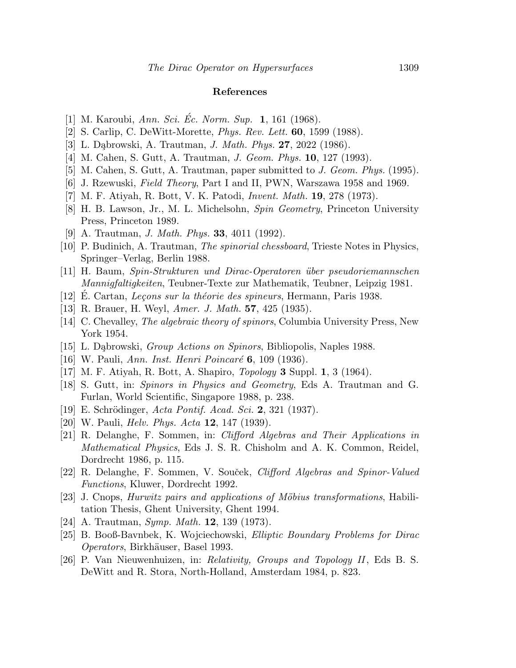#### References

- [1] M. Karoubi, Ann. Sci. Éc. Norm. Sup.  $1, 161$  (1968).
- [2] S. Carlip, C. DeWitt-Morette, Phys. Rev. Lett. 60, 1599 (1988).
- [3] L. Dąbrowski, A. Trautman, *J. Math. Phys.* **27**, 2022 (1986).
- [4] M. Cahen, S. Gutt, A. Trautman, *J. Geom. Phys.* **10**, 127 (1993).
- [5] M. Cahen, S. Gutt, A. Trautman, paper submitted to J. Geom. Phys. (1995).
- [6] J. Rzewuski, Field Theory, Part I and II, PWN, Warszawa 1958 and 1969.
- [7] M. F. Atiyah, R. Bott, V. K. Patodi, Invent. Math. 19, 278 (1973).
- [8] H. B. Lawson, Jr., M. L. Michelsohn, Spin Geometry, Princeton University Press, Princeton 1989.
- [9] A. Trautman, *J. Math. Phys.* **33**, 4011 (1992).
- [10] P. Budinich, A. Trautman, The spinorial chessboard, Trieste Notes in Physics, Springer–Verlag, Berlin 1988.
- [11] H. Baum, Spin-Strukturen und Dirac-Operatoren ¨uber pseudoriemannschen Mannigfaltigkeiten, Teubner-Texte zur Mathematik, Teubner, Leipzig 1981.
- [12] E. Cartan, *Leçons sur la théorie des spineurs*, Hermann, Paris 1938.
- [13] R. Brauer, H. Weyl, Amer. J. Math. 57, 425 (1935).
- [14] C. Chevalley, The algebraic theory of spinors, Columbia University Press, New York 1954.
- [15] L. Dąbrowski, *Group Actions on Spinors*, Bibliopolis, Naples 1988.
- [16] W. Pauli, Ann. Inst. Henri Poincaré 6, 109 (1936).
- [17] M. F. Atiyah, R. Bott, A. Shapiro, Topology 3 Suppl. 1, 3 (1964).
- [18] S. Gutt, in: Spinors in Physics and Geometry, Eds A. Trautman and G. Furlan, World Scientific, Singapore 1988, p. 238.
- [19] E. Schrödinger, Acta Pontif. Acad. Sci. 2, 321 (1937).
- [20] W. Pauli, *Helv. Phys. Acta* **12**, 147 (1939).
- [21] R. Delanghe, F. Sommen, in: Clifford Algebras and Their Applications in Mathematical Physics, Eds J. S. R. Chisholm and A. K. Common, Reidel, Dordrecht 1986, p. 115.
- [22] R. Delanghe, F. Sommen, V. Souček, Clifford Algebras and Spinor-Valued Functions, Kluwer, Dordrecht 1992.
- [23] J. Cnops, Hurwitz pairs and applications of Möbius transformations, Habilitation Thesis, Ghent University, Ghent 1994.
- [24] A. Trautman, Symp. Math. **12**, 139 (1973).
- [25] B. Booß-Bavnbek, K. Wojciechowski, Elliptic Boundary Problems for Dirac Operators, Birkhäuser, Basel 1993.
- [26] P. Van Nieuwenhuizen, in: Relativity, Groups and Topology II, Eds B. S. DeWitt and R. Stora, North-Holland, Amsterdam 1984, p. 823.